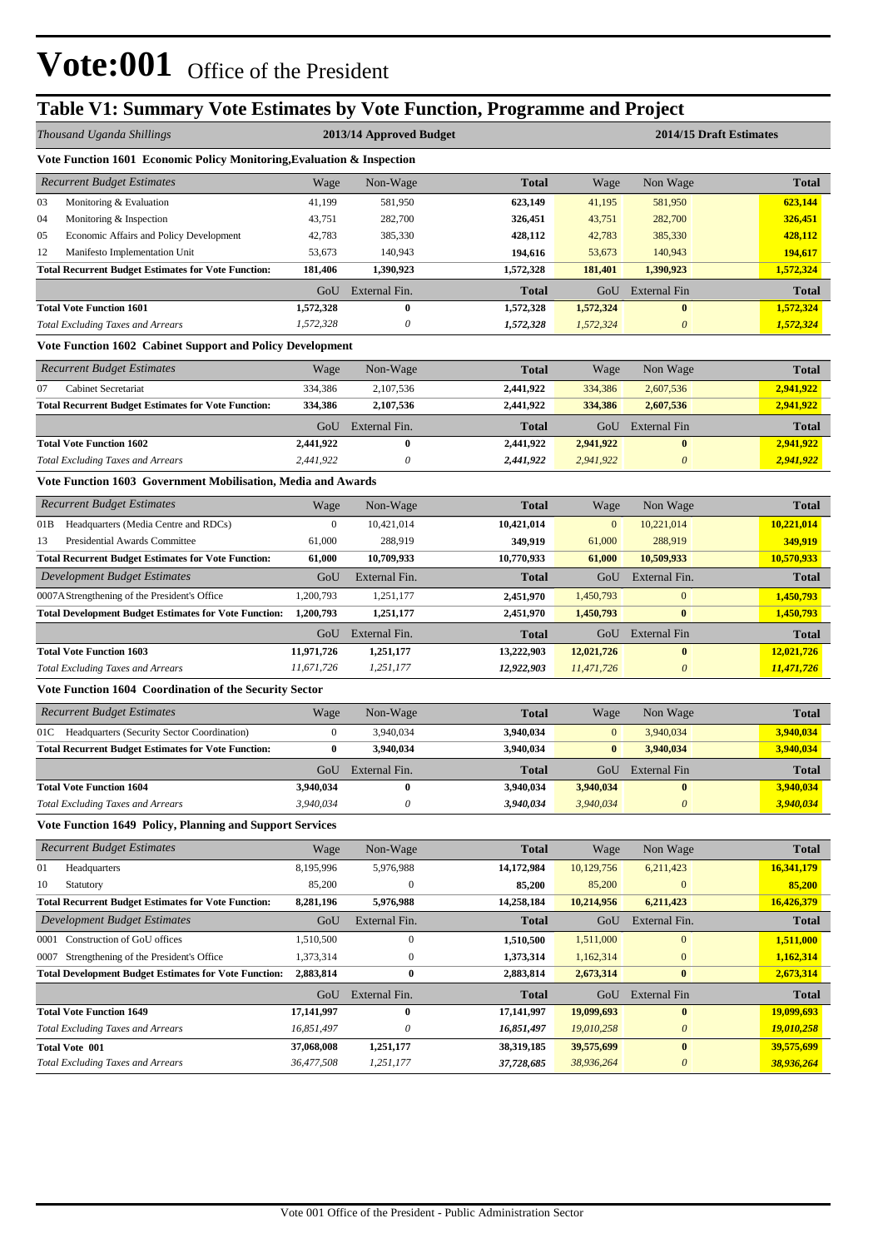# **Table V1: Summary Vote Estimates by Vote Function, Programme and Project**

|      | Thousand Uganda Shillings                                              |                  | 2013/14 Approved Budget   |              | 2014/15 Draft Estimates |                           |              |  |  |  |  |  |
|------|------------------------------------------------------------------------|------------------|---------------------------|--------------|-------------------------|---------------------------|--------------|--|--|--|--|--|
|      | Vote Function 1601 Economic Policy Monitoring, Evaluation & Inspection |                  |                           |              |                         |                           |              |  |  |  |  |  |
|      | <b>Recurrent Budget Estimates</b>                                      | Wage             | Non-Wage                  | <b>Total</b> | Wage                    | Non Wage                  | <b>Total</b> |  |  |  |  |  |
| 03   | Monitoring & Evaluation                                                | 41,199           | 581,950                   | 623,149      | 41,195                  | 581,950                   | 623,144      |  |  |  |  |  |
| 04   | Monitoring & Inspection                                                | 43,751           | 282,700                   | 326,451      | 43,751                  | 282,700                   | 326,451      |  |  |  |  |  |
| 05   | Economic Affairs and Policy Development                                | 42,783           | 385,330                   | 428,112      | 42,783                  | 385,330                   | 428,112      |  |  |  |  |  |
| 12   | Manifesto Implementation Unit                                          | 53,673           | 140,943                   | 194,616      | 53,673                  | 140,943                   | 194,617      |  |  |  |  |  |
|      | <b>Total Recurrent Budget Estimates for Vote Function:</b>             | 181,406          | 1,390,923                 | 1,572,328    | 181,401                 | 1,390,923                 | 1,572,324    |  |  |  |  |  |
|      |                                                                        | GoU              | External Fin.             | <b>Total</b> | GoU                     | <b>External Fin</b>       | <b>Total</b> |  |  |  |  |  |
|      | <b>Total Vote Function 1601</b>                                        | 1,572,328        | $\bf{0}$                  | 1,572,328    | 1,572,324               | $\bf{0}$                  | 1,572,324    |  |  |  |  |  |
|      | <b>Total Excluding Taxes and Arrears</b>                               | 1,572,328        | 0                         | 1,572,328    | 1,572,324               | $\boldsymbol{\theta}$     | 1,572,324    |  |  |  |  |  |
|      | Vote Function 1602 Cabinet Support and Policy Development              |                  |                           |              |                         |                           |              |  |  |  |  |  |
|      | <b>Recurrent Budget Estimates</b>                                      | Wage             | Non-Wage                  | <b>Total</b> | Wage                    | Non Wage                  | <b>Total</b> |  |  |  |  |  |
| 07   | Cabinet Secretariat                                                    | 334,386          | 2,107,536                 | 2,441,922    | 334,386                 | 2,607,536                 | 2,941,922    |  |  |  |  |  |
|      | <b>Total Recurrent Budget Estimates for Vote Function:</b>             | 334,386          | 2,107,536                 | 2,441,922    | 334,386                 | 2,607,536                 | 2,941,922    |  |  |  |  |  |
|      |                                                                        | GoU              | External Fin.             | <b>Total</b> | GoU                     | External Fin              | Total        |  |  |  |  |  |
|      | <b>Total Vote Function 1602</b>                                        | 2,441,922        | $\bf{0}$                  | 2,441,922    | 2,941,922               | $\bf{0}$                  | 2,941,922    |  |  |  |  |  |
|      | <b>Total Excluding Taxes and Arrears</b>                               | 2,441,922        | 0                         | 2,441,922    | 2,941,922               | $\boldsymbol{\theta}$     | 2,941,922    |  |  |  |  |  |
|      | Vote Function 1603 Government Mobilisation, Media and Awards           |                  |                           |              |                         |                           |              |  |  |  |  |  |
|      | <b>Recurrent Budget Estimates</b>                                      | Wage             | Non-Wage                  | <b>Total</b> | Wage                    | Non Wage                  | <b>Total</b> |  |  |  |  |  |
| 01B  | Headquarters (Media Centre and RDCs)                                   | $\mathbf{0}$     | 10,421,014                | 10,421,014   | $\mathbf{0}$            | 10,221,014                | 10,221,014   |  |  |  |  |  |
| 13   | Presidential Awards Committee                                          | 61,000           | 288,919                   | 349,919      | 61,000                  | 288,919                   | 349,919      |  |  |  |  |  |
|      | <b>Total Recurrent Budget Estimates for Vote Function:</b>             | 61,000           | 10,709,933                | 10,770,933   | 61,000                  | 10,509,933                | 10,570,933   |  |  |  |  |  |
|      | <b>Development Budget Estimates</b>                                    | GoU              | External Fin.             | <b>Total</b> | GoU                     | External Fin.             | <b>Total</b> |  |  |  |  |  |
|      | 0007AStrengthening of the President's Office                           | 1,200,793        | 1,251,177                 | 2,451,970    | 1,450,793               | $\mathbf{0}$              | 1,450,793    |  |  |  |  |  |
|      | <b>Total Development Budget Estimates for Vote Function:</b>           | 1,200,793        | 1,251,177                 | 2,451,970    | 1,450,793               | $\bf{0}$                  | 1,450,793    |  |  |  |  |  |
|      |                                                                        | GoU              | External Fin.             | <b>Total</b> | GoU                     | <b>External Fin</b>       | <b>Total</b> |  |  |  |  |  |
|      | <b>Total Vote Function 1603</b>                                        | 11,971,726       | 1,251,177                 | 13,222,903   | 12,021,726              | $\bf{0}$                  | 12,021,726   |  |  |  |  |  |
|      | <b>Total Excluding Taxes and Arrears</b>                               | 11,671,726       | 1,251,177                 | 12,922,903   | 11,471,726              | $\boldsymbol{\theta}$     | 11,471,726   |  |  |  |  |  |
|      | Vote Function 1604 Coordination of the Security Sector                 |                  |                           |              |                         |                           |              |  |  |  |  |  |
|      | <b>Recurrent Budget Estimates</b>                                      | Wage             | Non-Wage                  | <b>Total</b> | Wage                    | Non Wage                  | <b>Total</b> |  |  |  |  |  |
|      | 01C Headquarters (Security Sector Coordination)                        | $\boldsymbol{0}$ | 3,940,034                 | 3,940,034    | $\mathbf{0}$            | 3,940,034                 | 3,940,034    |  |  |  |  |  |
|      | <b>Total Recurrent Budget Estimates for Vote Function:</b>             | $\bf{0}$         | 3,940,034                 | 3,940,034    | $\bf{0}$                | 3,940,034                 | 3,940,034    |  |  |  |  |  |
|      |                                                                        | GoU              | External Fin.             | <b>Total</b> | GoU                     | <b>External Fin</b>       | <b>Total</b> |  |  |  |  |  |
|      | <b>Total Vote Function 1604</b>                                        | 3.940.034        | 0                         | 3,940,034    | 3,940,034               | $\bf{0}$                  | 3,940,034    |  |  |  |  |  |
|      | <b>Total Excluding Taxes and Arrears</b>                               | 3,940,034        | $\boldsymbol{\mathit{0}}$ | 3,940,034    | 3,940,034               | $\boldsymbol{\mathit{0}}$ | 3,940,034    |  |  |  |  |  |
|      | Vote Function 1649 Policy, Planning and Support Services               |                  |                           |              |                         |                           |              |  |  |  |  |  |
|      | <b>Recurrent Budget Estimates</b>                                      | Wage             | Non-Wage                  | <b>Total</b> | Wage                    | Non Wage                  | <b>Total</b> |  |  |  |  |  |
| 01   | Headquarters                                                           | 8,195,996        | 5,976,988                 | 14,172,984   | 10,129,756              | 6,211,423                 | 16,341,179   |  |  |  |  |  |
| 10   | Statutory                                                              | 85,200           | $\boldsymbol{0}$          | 85,200       | 85,200                  | $\mathbf{0}$              | 85,200       |  |  |  |  |  |
|      | <b>Total Recurrent Budget Estimates for Vote Function:</b>             | 8,281,196        | 5,976,988                 | 14,258,184   | 10,214,956              | 6,211,423                 | 16,426,379   |  |  |  |  |  |
|      | Development Budget Estimates                                           | GoU              | External Fin.             | <b>Total</b> | GoU                     | External Fin.             | <b>Total</b> |  |  |  |  |  |
| 0001 | Construction of GoU offices                                            | 1,510,500        | $\boldsymbol{0}$          | 1,510,500    | 1,511,000               | $\mathbf{0}$              | 1,511,000    |  |  |  |  |  |
|      | 0007 Strengthening of the President's Office                           | 1,373,314        | $\boldsymbol{0}$          | 1,373,314    | 1,162,314               | $\mathbf{0}$              | 1,162,314    |  |  |  |  |  |
|      | <b>Total Development Budget Estimates for Vote Function:</b>           | 2,883,814        | $\bf{0}$                  | 2,883,814    | 2,673,314               | $\bf{0}$                  | 2,673,314    |  |  |  |  |  |
|      |                                                                        | GoU              | External Fin.             | <b>Total</b> | GoU                     | External Fin              | <b>Total</b> |  |  |  |  |  |
|      | <b>Total Vote Function 1649</b>                                        | 17,141,997       | $\bf{0}$                  | 17,141,997   | 19,099,693              | $\bf{0}$                  | 19,099,693   |  |  |  |  |  |
|      | <b>Total Excluding Taxes and Arrears</b>                               | 16,851,497       | 0                         | 16,851,497   | 19,010,258              | $\boldsymbol{\mathit{0}}$ | 19,010,258   |  |  |  |  |  |
|      | <b>Total Vote 001</b>                                                  | 37,068,008       | 1,251,177                 | 38,319,185   | 39,575,699              | $\pmb{0}$                 | 39,575,699   |  |  |  |  |  |
|      | <b>Total Excluding Taxes and Arrears</b>                               | 36,477,508       | 1,251,177                 | 37,728,685   | 38,936,264              | $\boldsymbol{\theta}$     | 38,936,264   |  |  |  |  |  |
|      |                                                                        |                  |                           |              |                         |                           |              |  |  |  |  |  |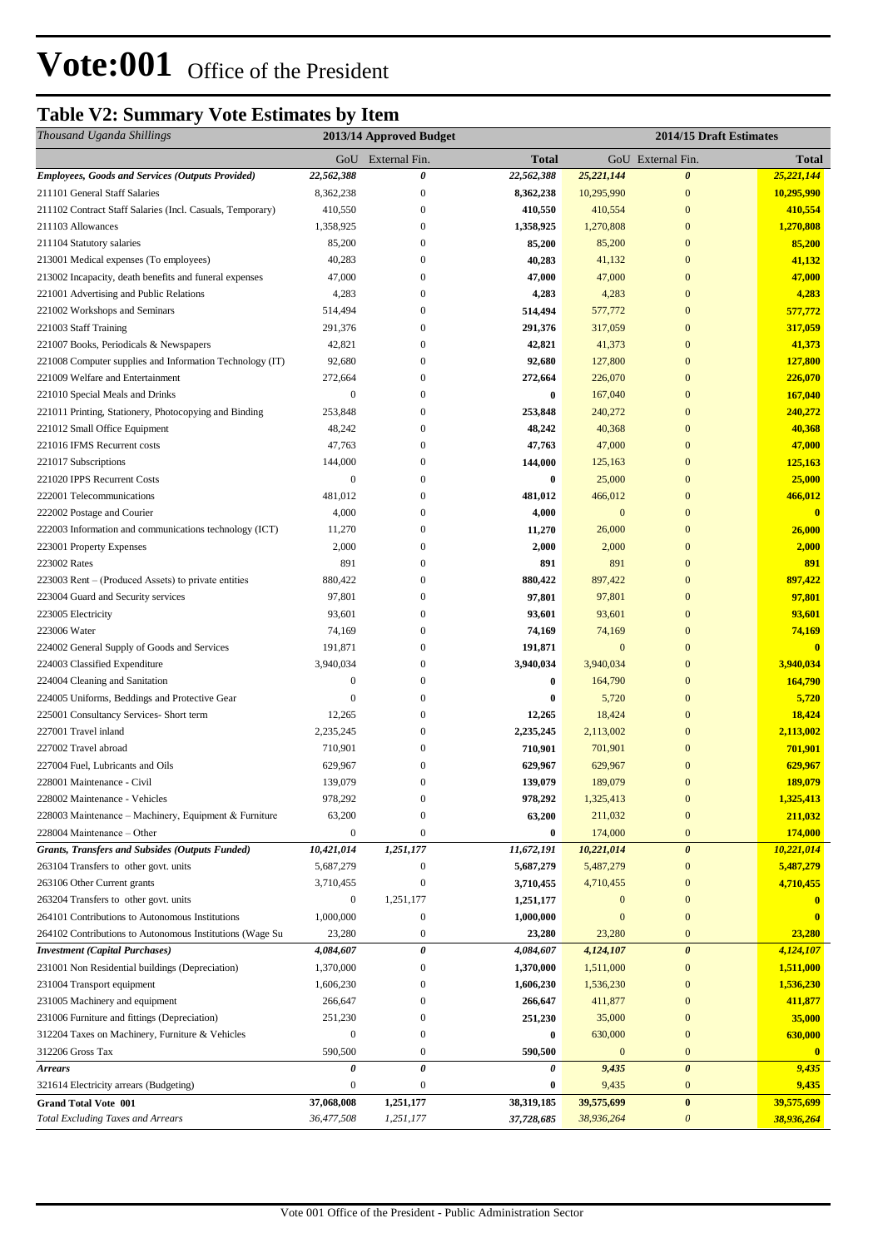## **Table V2: Summary Vote Estimates by Item**

| Thousand Uganda Shillings                                                            |                             | 2013/14 Approved Budget |                        |                     | 2014/15 Draft Estimates           |                         |
|--------------------------------------------------------------------------------------|-----------------------------|-------------------------|------------------------|---------------------|-----------------------------------|-------------------------|
|                                                                                      | GoU                         | External Fin.           | <b>Total</b>           |                     | GoU External Fin.                 | <b>Total</b>            |
| <b>Employees, Goods and Services (Outputs Provided)</b>                              | 22,562,388                  | 0                       | 22,562,388             | 25,221,144          | $\boldsymbol{\theta}$             | 25,221,144              |
| 211101 General Staff Salaries                                                        | 8,362,238                   | $\boldsymbol{0}$        | 8,362,238              | 10,295,990          | $\boldsymbol{0}$                  | 10,295,990              |
| 211102 Contract Staff Salaries (Incl. Casuals, Temporary)                            | 410,550                     | $\boldsymbol{0}$        | 410,550                | 410,554             | $\boldsymbol{0}$                  | 410,554                 |
| 211103 Allowances                                                                    | 1,358,925                   | $\boldsymbol{0}$        | 1,358,925              | 1,270,808           | $\mathbf{0}$                      | 1,270,808               |
| 211104 Statutory salaries                                                            | 85,200                      | $\overline{0}$          | 85,200                 | 85,200              | $\mathbf{0}$                      | 85,200                  |
| 213001 Medical expenses (To employees)                                               | 40,283                      | 0                       | 40,283                 | 41,132              | $\mathbf{0}$                      | 41,132                  |
| 213002 Incapacity, death benefits and funeral expenses                               | 47,000                      | 0                       | 47,000                 | 47,000              | $\mathbf{0}$                      | 47,000                  |
| 221001 Advertising and Public Relations                                              | 4,283                       | 0                       | 4,283                  | 4,283               | $\mathbf{0}$                      | 4,283                   |
| 221002 Workshops and Seminars                                                        | 514,494                     | 0                       | 514,494                | 577,772             | $\mathbf{0}$                      | 577,772                 |
| 221003 Staff Training                                                                | 291,376                     | 0                       | 291,376                | 317,059             | $\boldsymbol{0}$                  | 317,059                 |
| 221007 Books, Periodicals & Newspapers                                               | 42,821                      | $\overline{0}$          | 42,821                 | 41,373              | $\mathbf{0}$                      | 41,373                  |
| 221008 Computer supplies and Information Technology (IT)                             | 92,680                      | $\overline{0}$          | 92,680                 | 127,800             | $\boldsymbol{0}$                  | 127,800                 |
| 221009 Welfare and Entertainment                                                     | 272,664                     | 0                       | 272,664                | 226,070             | $\mathbf{0}$                      | 226,070                 |
| 221010 Special Meals and Drinks                                                      | $\mathbf{0}$                | $\overline{0}$          | $\bf{0}$               | 167,040             | $\mathbf{0}$                      | 167,040                 |
| 221011 Printing, Stationery, Photocopying and Binding                                | 253,848                     | 0                       | 253,848                | 240,272             | $\mathbf{0}$                      | 240,272                 |
| 221012 Small Office Equipment                                                        | 48,242                      | $\overline{0}$          | 48,242                 | 40,368              | $\mathbf{0}$                      | 40,368                  |
| 221016 IFMS Recurrent costs                                                          | 47,763                      | 0                       | 47,763                 | 47,000              | $\mathbf{0}$<br>$\mathbf{0}$      | 47,000                  |
| 221017 Subscriptions                                                                 | 144,000<br>$\boldsymbol{0}$ | 0                       | 144,000<br>$\bf{0}$    | 125,163             | $\mathbf{0}$                      | 125,163                 |
| 221020 IPPS Recurrent Costs<br>222001 Telecommunications                             | 481,012                     | 0<br>0                  | 481,012                | 25,000<br>466,012   | $\mathbf{0}$                      | 25,000<br>466,012       |
|                                                                                      | 4,000                       | $\boldsymbol{0}$        |                        | $\mathbf{0}$        | $\boldsymbol{0}$                  | $\overline{\mathbf{0}}$ |
| 222002 Postage and Courier<br>222003 Information and communications technology (ICT) | 11,270                      | 0                       | 4,000<br>11,270        | 26,000              | $\boldsymbol{0}$                  | 26,000                  |
| 223001 Property Expenses                                                             | 2,000                       | 0                       | 2,000                  | 2,000               | $\mathbf{0}$                      | 2,000                   |
| 223002 Rates                                                                         | 891                         | 0                       | 891                    | 891                 | $\mathbf{0}$                      | 891                     |
| 223003 Rent – (Produced Assets) to private entities                                  | 880,422                     | $\overline{0}$          | 880,422                | 897,422             | $\mathbf{0}$                      | 897,422                 |
| 223004 Guard and Security services                                                   | 97,801                      | 0                       | 97,801                 | 97,801              | $\mathbf{0}$                      | 97,801                  |
| 223005 Electricity                                                                   | 93,601                      | 0                       | 93,601                 | 93,601              | $\mathbf{0}$                      | 93,601                  |
| 223006 Water                                                                         | 74,169                      | 0                       | 74,169                 | 74,169              | $\mathbf{0}$                      | 74,169                  |
| 224002 General Supply of Goods and Services                                          | 191,871                     | 0                       | 191,871                | $\mathbf{0}$        | $\mathbf{0}$                      | $\mathbf{0}$            |
| 224003 Classified Expenditure                                                        | 3,940,034                   | $\overline{0}$          | 3,940,034              | 3,940,034           | $\mathbf{0}$                      | 3,940,034               |
| 224004 Cleaning and Sanitation                                                       | $\boldsymbol{0}$            | 0                       | $\bf{0}$               | 164,790             | $\boldsymbol{0}$                  | 164,790                 |
| 224005 Uniforms, Beddings and Protective Gear                                        | $\mathbf{0}$                | 0                       | $\bf{0}$               | 5,720               | $\mathbf{0}$                      | 5,720                   |
| 225001 Consultancy Services- Short term                                              | 12,265                      | $\overline{0}$          | 12,265                 | 18,424              | $\mathbf{0}$                      | 18,424                  |
| 227001 Travel inland                                                                 | 2,235,245                   | 0                       | 2,235,245              | 2,113,002           | $\mathbf{0}$                      | 2,113,002               |
| 227002 Travel abroad                                                                 | 710,901                     | $\boldsymbol{0}$        | 710,901                | 701,901             | $\mathbf{0}$                      | 701,901                 |
| 227004 Fuel, Lubricants and Oils                                                     | 629,967                     | 0                       | 629,967                | 629,967             | $\boldsymbol{0}$                  | 629,967                 |
| 228001 Maintenance - Civil                                                           | 139,079                     | $\overline{0}$          | 139,079                | 189,079             | $\mathbf{0}$                      | 189,079                 |
| 228002 Maintenance - Vehicles                                                        | 978,292                     | $\boldsymbol{0}$        | 978,292                | 1,325,413           | $\boldsymbol{0}$                  | 1,325,413               |
| 228003 Maintenance - Machinery, Equipment & Furniture                                | 63,200                      | $\boldsymbol{0}$        | 63,200                 | 211,032             | $\mathbf{0}$                      | 211,032                 |
| 228004 Maintenance - Other                                                           | $\boldsymbol{0}$            | $\overline{0}$          | $\bf{0}$               | 174,000             | $\mathbf{0}$                      | 174,000                 |
| Grants, Transfers and Subsides (Outputs Funded)                                      | 10,421,014                  | 1,251,177               | 11,672,191             | 10,221,014          | $\boldsymbol{\theta}$             | 10,221,014              |
| 263104 Transfers to other govt. units                                                | 5,687,279                   | $\boldsymbol{0}$        | 5,687,279              | 5,487,279           | $\mathbf{0}$                      | 5,487,279               |
| 263106 Other Current grants                                                          | 3,710,455                   | $\boldsymbol{0}$        | 3,710,455              | 4,710,455           | $\mathbf{0}$                      | 4,710,455               |
| 263204 Transfers to other govt. units                                                | $\boldsymbol{0}$            | 1,251,177               | 1,251,177              | $\boldsymbol{0}$    | $\mathbf{0}$                      | $\mathbf{0}$            |
| 264101 Contributions to Autonomous Institutions                                      | 1,000,000                   | $\boldsymbol{0}$        | 1,000,000              | $\boldsymbol{0}$    | $\boldsymbol{0}$                  | $\mathbf{0}$            |
| 264102 Contributions to Autonomous Institutions (Wage Su                             | 23,280                      | $\boldsymbol{0}$        | 23,280                 | 23,280              | $\bf{0}$                          | 23,280                  |
| <b>Investment</b> (Capital Purchases)                                                | 4,084,607                   | $\pmb{\theta}$          | 4,084,607              | 4,124,107           | $\pmb{\theta}$                    | 4,124,107               |
| 231001 Non Residential buildings (Depreciation)                                      | 1,370,000                   | 0                       | 1,370,000              | 1,511,000           | $\boldsymbol{0}$                  | 1,511,000               |
| 231004 Transport equipment                                                           | 1,606,230                   | 0                       | 1,606,230              | 1,536,230           | $\boldsymbol{0}$                  | 1,536,230               |
| 231005 Machinery and equipment                                                       | 266,647                     | $\boldsymbol{0}$        | 266,647                | 411,877             | $\mathbf{0}$                      | 411,877                 |
| 231006 Furniture and fittings (Depreciation)                                         | 251,230                     | $\boldsymbol{0}$        | 251,230                | 35,000              | $\mathbf{0}$                      | 35,000                  |
| 312204 Taxes on Machinery, Furniture & Vehicles                                      | $\boldsymbol{0}$            | $\boldsymbol{0}$        | 0                      | 630,000             | $\mathbf{0}$                      | 630,000                 |
| 312206 Gross Tax                                                                     | 590,500                     | 0<br>$\pmb{\theta}$     | 590,500<br>0           | $\mathbf{0}$        | $\mathbf{0}$                      | $\mathbf{0}$            |
| <b>Arrears</b>                                                                       | 0<br>$\boldsymbol{0}$       | $\boldsymbol{0}$        |                        | 9,435               | $\boldsymbol{\theta}$<br>$\bf{0}$ | 9,435                   |
| 321614 Electricity arrears (Budgeting)                                               | 37,068,008                  | 1,251,177               | $\bf{0}$<br>38,319,185 | 9,435<br>39,575,699 | $\pmb{0}$                         | 9,435<br>39,575,699     |
| <b>Grand Total Vote 001</b><br><b>Total Excluding Taxes and Arrears</b>              | 36,477,508                  | 1,251,177               | 37,728,685             | 38,936,264          | $\boldsymbol{\theta}$             | 38,936,264              |
|                                                                                      |                             |                         |                        |                     |                                   |                         |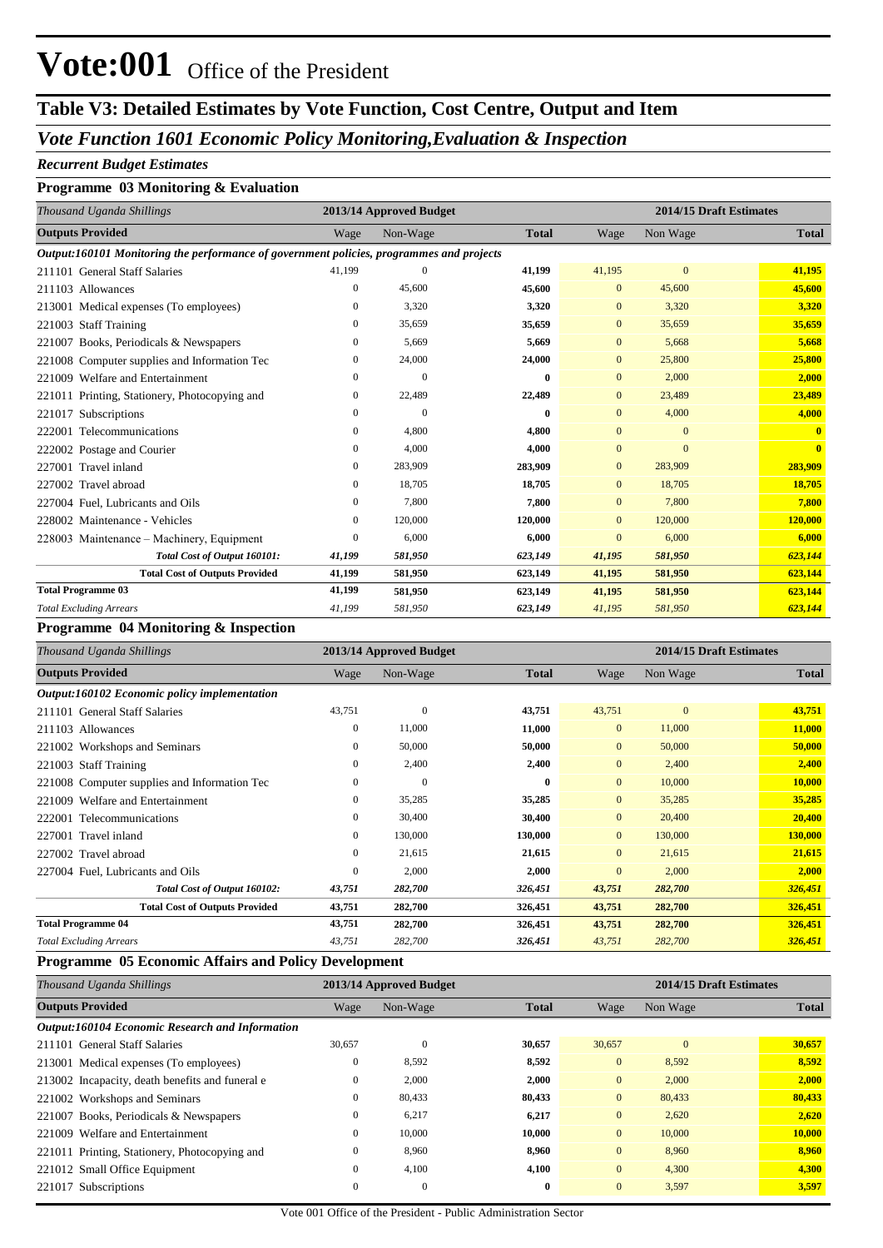## **Table V3: Detailed Estimates by Vote Function, Cost Centre, Output and Item**

## *Vote Function 1601 Economic Policy Monitoring,Evaluation & Inspection*

#### *Recurrent Budget Estimates*

### **Programme 03 Monitoring & Evaluation**

| Thousand Uganda Shillings                                                                |                  | 2013/14 Approved Budget |              | 2014/15 Draft Estimates |              |              |  |
|------------------------------------------------------------------------------------------|------------------|-------------------------|--------------|-------------------------|--------------|--------------|--|
| <b>Outputs Provided</b>                                                                  | Wage             | Non-Wage                | <b>Total</b> | Wage                    | Non Wage     | <b>Total</b> |  |
| Output:160101 Monitoring the performance of government policies, programmes and projects |                  |                         |              |                         |              |              |  |
| 211101 General Staff Salaries                                                            | 41.199           | $\Omega$                | 41,199       | 41,195                  | $\mathbf{0}$ | 41,195       |  |
| 211103 Allowances                                                                        | $\mathbf{0}$     | 45,600                  | 45,600       | $\overline{0}$          | 45,600       | 45,600       |  |
| 213001 Medical expenses (To employees)                                                   | $\mathbf{0}$     | 3,320                   | 3,320        | $\Omega$                | 3,320        | 3,320        |  |
| <b>Staff Training</b><br>221003                                                          | $\mathbf{0}$     | 35,659                  | 35,659       | $\overline{0}$          | 35,659       | 35,659       |  |
| 221007 Books, Periodicals & Newspapers                                                   | $\mathbf{0}$     | 5,669                   | 5,669        | $\overline{0}$          | 5,668        | 5,668        |  |
| 221008 Computer supplies and Information Tec                                             | $\boldsymbol{0}$ | 24,000                  | 24,000       | $\overline{0}$          | 25,800       | 25,800       |  |
| 221009 Welfare and Entertainment                                                         | $\mathbf{0}$     | $\overline{0}$          | $\bf{0}$     | $\overline{0}$          | 2,000        | 2,000        |  |
| 221011 Printing, Stationery, Photocopying and                                            | $\mathbf{0}$     | 22,489                  | 22,489       | $\overline{0}$          | 23,489       | 23,489       |  |
| 221017 Subscriptions                                                                     | $\Omega$         | $\Omega$                | $\bf{0}$     | $\overline{0}$          | 4,000        | 4,000        |  |
| Telecommunications<br>222001                                                             | $\mathbf{0}$     | 4,800                   | 4,800        | $\overline{0}$          | $\mathbf{0}$ | $\mathbf{0}$ |  |
| 222002 Postage and Courier                                                               | $\overline{0}$   | 4,000                   | 4,000        | $\overline{0}$          | $\mathbf{0}$ | $\mathbf{0}$ |  |
| Travel inland<br>227001                                                                  | $\boldsymbol{0}$ | 283,909                 | 283,909      | $\overline{0}$          | 283,909      | 283,909      |  |
| Travel abroad<br>227002                                                                  | $\mathbf{0}$     | 18,705                  | 18,705       | $\mathbf{0}$            | 18,705       | 18,705       |  |
| 227004 Fuel, Lubricants and Oils                                                         | $\boldsymbol{0}$ | 7,800                   | 7,800        | $\overline{0}$          | 7,800        | 7,800        |  |
| 228002 Maintenance - Vehicles                                                            | $\mathbf{0}$     | 120,000                 | 120,000      | $\overline{0}$          | 120,000      | 120,000      |  |
| 228003 Maintenance – Machinery, Equipment                                                | $\mathbf{0}$     | 6,000                   | 6,000        | $\overline{0}$          | 6,000        | 6,000        |  |
| Total Cost of Output 160101:                                                             | 41,199           | 581,950                 | 623,149      | 41,195                  | 581,950      | 623,144      |  |
| <b>Total Cost of Outputs Provided</b>                                                    | 41,199           | 581,950                 | 623,149      | 41,195                  | 581,950      | 623,144      |  |
| <b>Total Programme 03</b>                                                                | 41,199           | 581,950                 | 623,149      | 41,195                  | 581,950      | 623,144      |  |
| <b>Total Excluding Arrears</b>                                                           | 41,199           | 581,950                 | 623,149      | 41,195                  | 581,950      | 623,144      |  |

#### **Programme 04 Monitoring & Inspection**

| Thousand Uganda Shillings                    |              | 2013/14 Approved Budget |              |                | 2014/15 Draft Estimates |              |
|----------------------------------------------|--------------|-------------------------|--------------|----------------|-------------------------|--------------|
| <b>Outputs Provided</b>                      | Wage         | Non-Wage                | <b>Total</b> | Wage           | Non Wage                | <b>Total</b> |
| Output:160102 Economic policy implementation |              |                         |              |                |                         |              |
| 211101 General Staff Salaries                | 43,751       | $\mathbf{0}$            | 43,751       | 43,751         | $\mathbf{0}$            | 43,751       |
| 211103 Allowances                            | $\Omega$     | 11,000                  | 11,000       | $\overline{0}$ | 11,000                  | 11,000       |
| 221002 Workshops and Seminars                | $\Omega$     | 50,000                  | 50,000       | $\overline{0}$ | 50,000                  | 50,000       |
| 221003 Staff Training                        | 0            | 2,400                   | 2,400        | $\overline{0}$ | 2,400                   | 2,400        |
| 221008 Computer supplies and Information Tec | $\mathbf{0}$ | $\mathbf{0}$            | 0            | $\overline{0}$ | 10,000                  | 10,000       |
| 221009 Welfare and Entertainment             | $\mathbf{0}$ | 35,285                  | 35,285       | $\overline{0}$ | 35,285                  | 35,285       |
| 222001 Telecommunications                    | $\Omega$     | 30,400                  | 30,400       | $\overline{0}$ | 20,400                  | 20,400       |
| 227001 Travel inland                         | $\Omega$     | 130,000                 | 130,000      | $\overline{0}$ | 130,000                 | 130,000      |
| 227002 Travel abroad                         | $\mathbf{0}$ | 21,615                  | 21,615       | $\overline{0}$ | 21,615                  | 21,615       |
| 227004 Fuel, Lubricants and Oils             | $\Omega$     | 2,000                   | 2,000        | $\Omega$       | 2,000                   | 2,000        |
| Total Cost of Output 160102:                 | 43,751       | 282,700                 | 326,451      | 43,751         | 282,700                 | 326,451      |
| <b>Total Cost of Outputs Provided</b>        | 43,751       | 282,700                 | 326,451      | 43,751         | 282,700                 | 326,451      |
| <b>Total Programme 04</b>                    | 43,751       | 282,700                 | 326,451      | 43,751         | 282,700                 | 326,451      |
| <b>Total Excluding Arrears</b>               | 43,751       | 282,700                 | 326,451      | 43,751         | 282,700                 | 326,451      |

### **Programme 05 Economic Affairs and Policy Development**

| Thousand Uganda Shillings                              |                | 2013/14 Approved Budget |              |                | 2014/15 Draft Estimates |              |  |
|--------------------------------------------------------|----------------|-------------------------|--------------|----------------|-------------------------|--------------|--|
| <b>Outputs Provided</b>                                | Wage           | Non-Wage                | <b>Total</b> | Wage           | Non Wage                | <b>Total</b> |  |
| <b>Output:160104 Economic Research and Information</b> |                |                         |              |                |                         |              |  |
| 211101 General Staff Salaries                          | 30,657         | $\mathbf{0}$            | 30,657       | 30,657         | $\mathbf{0}$            | 30,657       |  |
| 213001 Medical expenses (To employees)                 | $\bf{0}$       | 8,592                   | 8,592        | $\mathbf{0}$   | 8,592                   | 8,592        |  |
| 213002 Incapacity, death benefits and funeral e        | $\overline{0}$ | 2,000                   | 2,000        | $\mathbf{0}$   | 2,000                   | 2,000        |  |
| 221002 Workshops and Seminars                          | $\overline{0}$ | 80,433                  | 80,433       | $\overline{0}$ | 80,433                  | 80,433       |  |
| 221007 Books, Periodicals & Newspapers                 | $\overline{0}$ | 6,217                   | 6,217        | $\overline{0}$ | 2,620                   | 2,620        |  |
| 221009 Welfare and Entertainment                       | $\overline{0}$ | 10,000                  | 10,000       | $\mathbf{0}$   | 10,000                  | 10,000       |  |
| 221011 Printing, Stationery, Photocopying and          | $\overline{0}$ | 8,960                   | 8,960        | $\mathbf{0}$   | 8,960                   | 8,960        |  |
| 221012 Small Office Equipment                          | $\overline{0}$ | 4,100                   | 4,100        | $\overline{0}$ | 4,300                   | 4,300        |  |
| 221017 Subscriptions                                   | $\mathbf{0}$   | $\mathbf{0}$            | $\bf{0}$     | $\overline{0}$ | 3,597                   | 3,597        |  |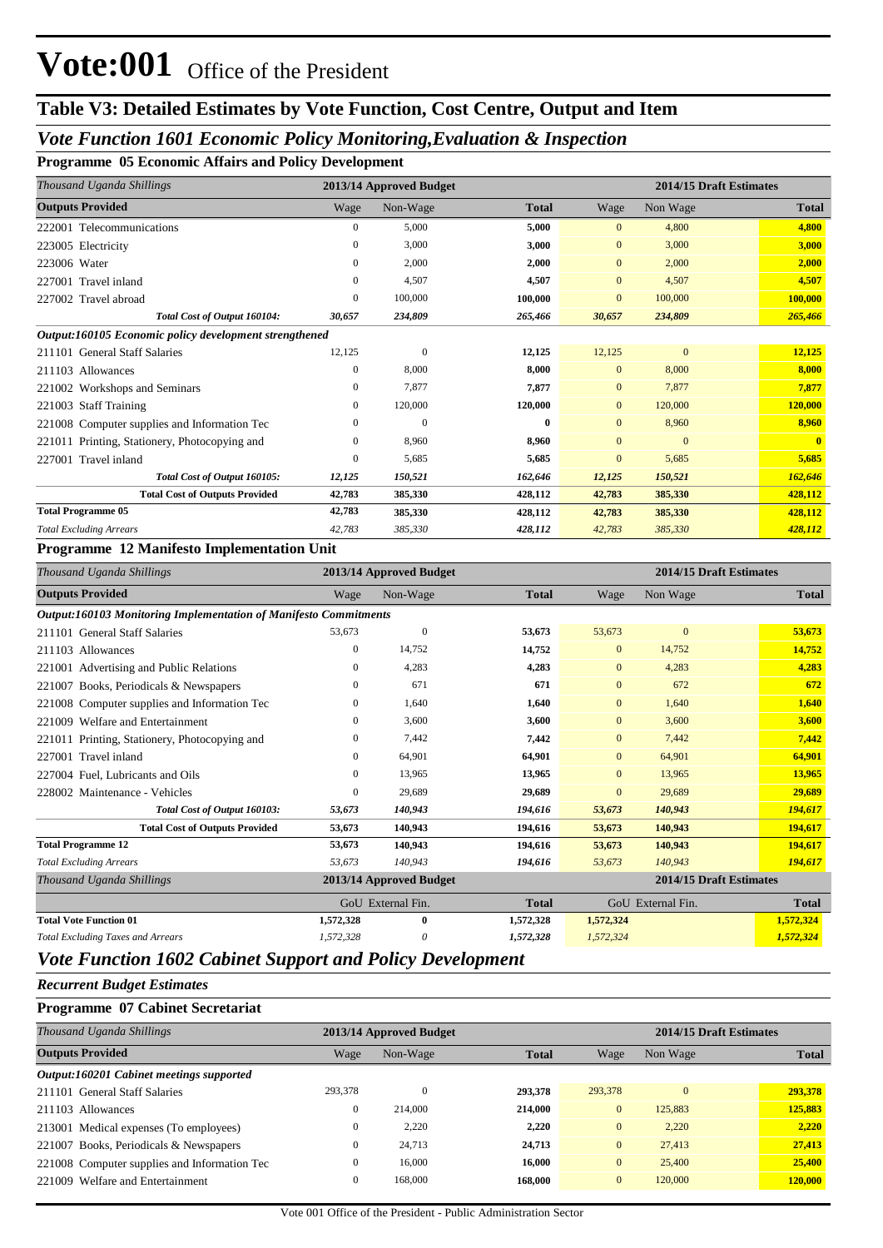## **Table V3: Detailed Estimates by Vote Function, Cost Centre, Output and Item**

### *Vote Function 1601 Economic Policy Monitoring,Evaluation & Inspection*

**Programme 05 Economic Affairs and Policy Development**

| Thousand Uganda Shillings                              |                  | 2013/14 Approved Budget |              |                | 2014/15 Draft Estimates |              |  |  |
|--------------------------------------------------------|------------------|-------------------------|--------------|----------------|-------------------------|--------------|--|--|
| <b>Outputs Provided</b>                                | Wage             | Non-Wage                | <b>Total</b> | Wage           | Non Wage                | <b>Total</b> |  |  |
| 222001 Telecommunications                              | $\mathbf{0}$     | 5,000                   | 5,000        | $\overline{0}$ | 4,800                   | 4,800        |  |  |
| 223005 Electricity                                     | $\mathbf{0}$     | 3.000                   | 3,000        | $\mathbf{0}$   | 3,000                   | 3,000        |  |  |
| 223006 Water                                           | $\mathbf{0}$     | 2,000                   | 2,000        | $\mathbf{0}$   | 2,000                   | 2,000        |  |  |
| 227001 Travel inland                                   | $\mathbf{0}$     | 4,507                   | 4,507        | $\overline{0}$ | 4,507                   | 4,507        |  |  |
| 227002 Travel abroad                                   | $\boldsymbol{0}$ | 100,000                 | 100,000      | $\mathbf{0}$   | 100,000                 | 100,000      |  |  |
| Total Cost of Output 160104:                           | 30,657           | 234,809                 | 265,466      | 30,657         | 234,809                 | 265,466      |  |  |
| Output:160105 Economic policy development strengthened |                  |                         |              |                |                         |              |  |  |
| <b>General Staff Salaries</b><br>211101                | 12,125           | $\mathbf{0}$            | 12,125       | 12,125         | $\mathbf{0}$            | 12,125       |  |  |
| 211103 Allowances                                      | $\mathbf{0}$     | 8,000                   | 8,000        | $\mathbf{0}$   | 8,000                   | 8,000        |  |  |
| 221002 Workshops and Seminars                          | $\mathbf{0}$     | 7,877                   | 7,877        | $\overline{0}$ | 7,877                   | 7,877        |  |  |
| <b>Staff Training</b><br>221003                        | $\mathbf{0}$     | 120,000                 | 120,000      | $\overline{0}$ | 120,000                 | 120,000      |  |  |
| 221008 Computer supplies and Information Tec           | $\Omega$         | $\Omega$                | $\mathbf{0}$ | $\Omega$       | 8,960                   | 8,960        |  |  |
| 221011 Printing, Stationery, Photocopying and          | $\boldsymbol{0}$ | 8,960                   | 8,960        | $\Omega$       | $\mathbf{0}$            | $\mathbf{0}$ |  |  |
| 227001 Travel inland                                   | $\mathbf{0}$     | 5,685                   | 5,685        | $\overline{0}$ | 5,685                   | 5,685        |  |  |
| Total Cost of Output 160105:                           | 12,125           | 150,521                 | 162,646      | 12,125         | 150,521                 | 162,646      |  |  |
| <b>Total Cost of Outputs Provided</b>                  | 42,783           | 385,330                 | 428,112      | 42,783         | 385,330                 | 428,112      |  |  |
| <b>Total Programme 05</b>                              | 42,783           | 385,330                 | 428,112      | 42,783         | 385,330                 | 428,112      |  |  |
| <b>Total Excluding Arrears</b>                         | 42,783           | 385,330                 | 428,112      | 42,783         | 385,330                 | 428,112      |  |  |

#### **Programme 12 Manifesto Implementation Unit**

| Thousand Uganda Shillings                                        |              | 2013/14 Approved Budget |              |                | 2014/15 Draft Estimates |              |
|------------------------------------------------------------------|--------------|-------------------------|--------------|----------------|-------------------------|--------------|
| <b>Outputs Provided</b>                                          | Wage         | Non-Wage                | <b>Total</b> | Wage           | Non Wage                | <b>Total</b> |
| Output:160103 Monitoring Implementation of Manifesto Commitments |              |                         |              |                |                         |              |
| 211101 General Staff Salaries                                    | 53,673       | $\mathbf{0}$            | 53,673       | 53,673         | $\mathbf{0}$            | 53,673       |
| 211103 Allowances                                                | $\mathbf{0}$ | 14,752                  | 14,752       | $\overline{0}$ | 14,752                  | 14,752       |
| 221001 Advertising and Public Relations                          | $\mathbf{0}$ | 4,283                   | 4,283        | $\mathbf{0}$   | 4,283                   | 4,283        |
| Books, Periodicals & Newspapers<br>221007                        | 0            | 671                     | 671          | $\mathbf{0}$   | 672                     | 672          |
| Computer supplies and Information Tec<br>221008                  | $\mathbf{0}$ | 1,640                   | 1,640        | $\overline{0}$ | 1,640                   | 1,640        |
| Welfare and Entertainment<br>221009                              | $\mathbf{0}$ | 3,600                   | 3,600        | $\overline{0}$ | 3,600                   | 3,600        |
| 221011 Printing, Stationery, Photocopying and                    | $\mathbf{0}$ | 7,442                   | 7,442        | $\overline{0}$ | 7,442                   | 7,442        |
| 227001 Travel inland                                             | $\Omega$     | 64,901                  | 64,901       | $\mathbf{0}$   | 64,901                  | 64,901       |
| 227004 Fuel, Lubricants and Oils                                 | $\mathbf{0}$ | 13,965                  | 13,965       | $\overline{0}$ | 13.965                  | 13,965       |
| 228002 Maintenance - Vehicles                                    | $\mathbf{0}$ | 29,689                  | 29,689       | $\mathbf{0}$   | 29,689                  | 29,689       |
| Total Cost of Output 160103:                                     | 53,673       | 140,943                 | 194,616      | 53,673         | 140,943                 | 194,617      |
| <b>Total Cost of Outputs Provided</b>                            | 53,673       | 140,943                 | 194,616      | 53,673         | 140,943                 | 194,617      |
| <b>Total Programme 12</b>                                        | 53,673       | 140,943                 | 194,616      | 53,673         | 140,943                 | 194,617      |
| <b>Total Excluding Arrears</b>                                   | 53,673       | 140,943                 | 194,616      | 53,673         | 140,943                 | 194,617      |
| Thousand Uganda Shillings                                        |              | 2013/14 Approved Budget |              |                | 2014/15 Draft Estimates |              |
|                                                                  |              | GoU External Fin.       | <b>Total</b> |                | GoU External Fin.       | <b>Total</b> |
| <b>Total Vote Function 01</b>                                    | 1,572,328    | $\bf{0}$                | 1,572,328    | 1,572,324      |                         | 1,572,324    |
| <b>Total Excluding Taxes and Arrears</b>                         | 1,572,328    | 0                       | 1,572,328    | 1,572,324      |                         | 1,572,324    |

## *Vote Function 1602 Cabinet Support and Policy Development*

*Recurrent Budget Estimates*

#### **Programme 07 Cabinet Secretariat**

|              | 2013/14 Approved Budget |              |                | 2014/15 Draft Estimates |              |  |
|--------------|-------------------------|--------------|----------------|-------------------------|--------------|--|
| Wage         | Non-Wage                | <b>Total</b> | Wage           | Non Wage                | <b>Total</b> |  |
|              |                         |              |                |                         |              |  |
| 293,378      | $\mathbf{0}$            | 293,378      | 293,378        | $\mathbf{0}$            | 293,378      |  |
| $\mathbf{0}$ | 214,000                 | 214,000      | $\overline{0}$ | 125,883                 | 125,883      |  |
| $\mathbf{0}$ | 2.220                   | 2,220        | $\overline{0}$ | 2.220                   | 2,220        |  |
| $\mathbf{0}$ | 24,713                  | 24,713       | $\overline{0}$ | 27,413                  | 27,413       |  |
| $\mathbf{0}$ | 16.000                  | 16.000       | $\overline{0}$ | 25,400                  | 25,400       |  |
| $\mathbf{0}$ | 168,000                 | 168.000      | $\overline{0}$ | 120,000                 | 120,000      |  |
|              |                         |              |                |                         |              |  |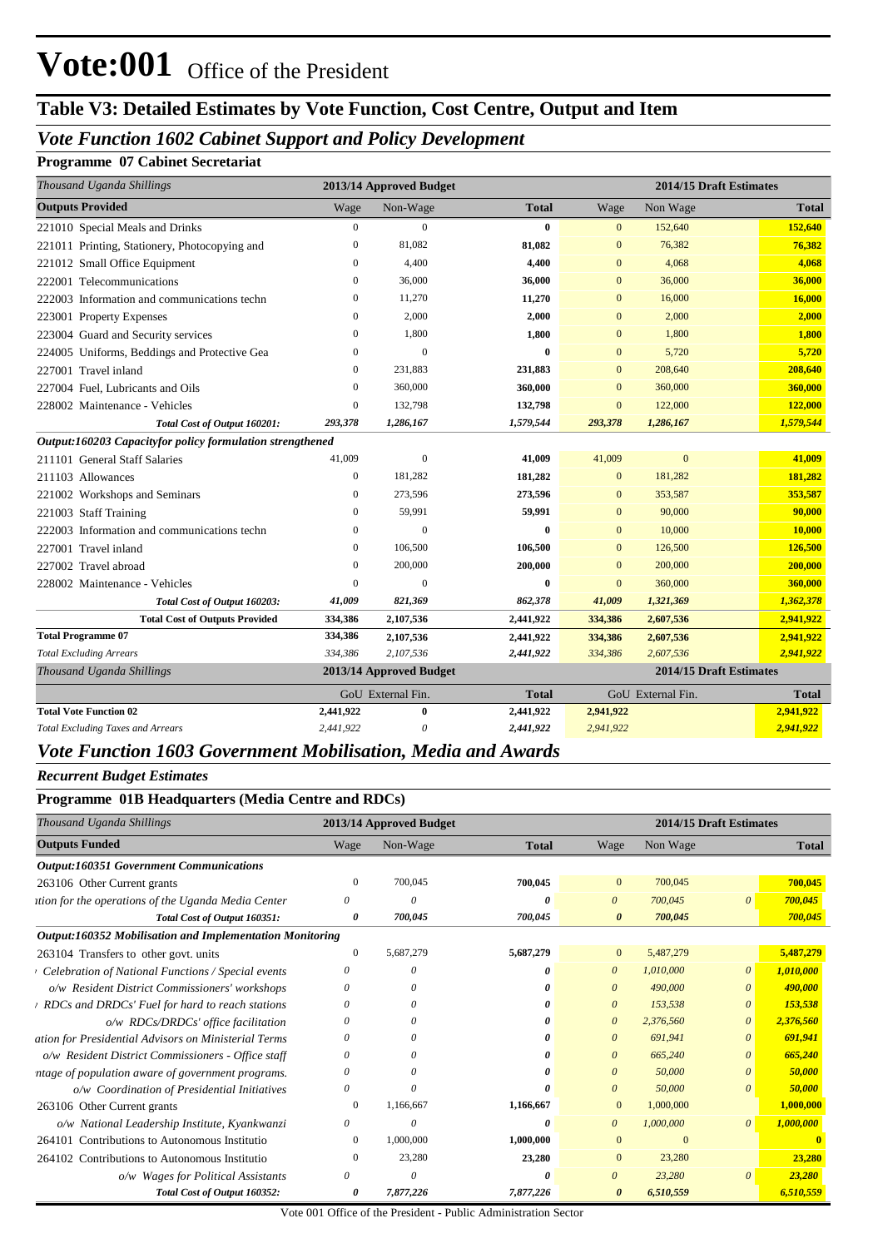# **Table V3: Detailed Estimates by Vote Function, Cost Centre, Output and Item**

## *Vote Function 1602 Cabinet Support and Policy Development*

### **Programme 07 Cabinet Secretariat**

| Thousand Uganda Shillings                                    |                  | 2013/14 Approved Budget |              | 2014/15 Draft Estimates           |                         |              |
|--------------------------------------------------------------|------------------|-------------------------|--------------|-----------------------------------|-------------------------|--------------|
| <b>Outputs Provided</b>                                      | Wage             | Non-Wage                | <b>Total</b> | Wage                              | Non Wage                | <b>Total</b> |
| 221010 Special Meals and Drinks                              | $\mathbf{0}$     | $\mathbf{0}$            | 0            | $\mathbf{0}$                      | 152,640                 | 152,640      |
| 221011 Printing, Stationery, Photocopying and                | $\mathbf{0}$     | 81,082                  | 81,082       | $\mathbf{0}$                      | 76,382                  | 76,382       |
| 221012 Small Office Equipment                                | $\mathbf{0}$     | 4,400                   | 4,400        | $\mathbf{0}$                      | 4,068                   | 4,068        |
| 222001 Telecommunications                                    | $\mathbf{0}$     | 36,000                  | 36,000       | $\mathbf{0}$                      | 36,000                  | 36,000       |
| 222003 Information and communications techn                  | $\mathbf{0}$     | 11,270                  | 11,270       | $\mathbf{0}$                      | 16,000                  | 16,000       |
| 223001 Property Expenses                                     | 0                | 2,000                   | 2,000        | $\mathbf{0}$                      | 2,000                   | 2,000        |
| 223004 Guard and Security services                           | 0                | 1,800                   | 1,800        | $\mathbf{0}$                      | 1,800                   | 1,800        |
| 224005 Uniforms, Beddings and Protective Gea                 | $\theta$         | $\overline{0}$          | $\bf{0}$     | $\overline{0}$                    | 5,720                   | 5,720        |
| 227001 Travel inland                                         | $\theta$         | 231,883                 | 231,883      | $\overline{0}$                    | 208,640                 | 208,640      |
| 227004 Fuel, Lubricants and Oils                             | $\Omega$         | 360,000                 | 360,000      | $\Omega$                          | 360,000                 | 360,000      |
| 228002 Maintenance - Vehicles                                | $\mathbf{0}$     | 132,798                 | 132,798      | $\mathbf{0}$                      | 122,000                 | 122,000      |
| Total Cost of Output 160201:                                 | 293,378          | 1,286,167               | 1,579,544    | 293,378                           | 1,286,167               | 1,579,544    |
| Output:160203 Capacityfor policy formulation strengthened    |                  |                         |              |                                   |                         |              |
| 211101 General Staff Salaries                                | 41,009           | $\mathbf{0}$            | 41,009       | 41,009                            | $\overline{0}$          | 41,009       |
| 211103 Allowances                                            | $\mathbf{0}$     | 181,282                 | 181,282      | $\mathbf{0}$                      | 181,282                 | 181,282      |
| 221002 Workshops and Seminars                                | $\mathbf{0}$     | 273,596                 | 273,596      | $\mathbf{0}$                      | 353,587                 | 353,587      |
| 221003 Staff Training                                        | $\mathbf{0}$     | 59,991                  | 59,991       | $\mathbf{0}$                      | 90,000                  | 90,000       |
| 222003 Information and communications techn                  | $\boldsymbol{0}$ | $\mathbf{0}$            | 0            | $\overline{0}$                    | 10,000                  | 10,000       |
| 227001 Travel inland                                         | $\mathbf{0}$     | 106,500                 | 106,500      | $\mathbf{0}$                      | 126,500                 | 126,500      |
| 227002 Travel abroad                                         | $\mathbf{0}$     | 200,000                 | 200,000      | $\mathbf{0}$                      | 200,000                 | 200,000      |
| 228002 Maintenance - Vehicles                                | $\mathbf{0}$     | $\Omega$                | $\bf{0}$     | $\overline{0}$                    | 360,000                 | 360,000      |
| Total Cost of Output 160203:                                 | 41,009           | 821,369                 | 862,378      | 41,009                            | 1,321,369               | 1,362,378    |
| <b>Total Cost of Outputs Provided</b>                        | 334,386          | 2,107,536               | 2,441,922    | 334,386                           | 2,607,536               | 2,941,922    |
| <b>Total Programme 07</b>                                    | 334,386          | 2,107,536               | 2,441,922    | 334,386                           | 2,607,536               | 2,941,922    |
| <b>Total Excluding Arrears</b>                               | 334,386          | 2,107,536               | 2,441,922    | 334,386                           | 2,607,536               | 2,941,922    |
| Thousand Uganda Shillings                                    |                  | 2013/14 Approved Budget |              |                                   | 2014/15 Draft Estimates |              |
|                                                              |                  | GoU External Fin.       | <b>Total</b> | GoU External Fin.<br><b>Total</b> |                         |              |
| <b>Total Vote Function 02</b>                                | 2,441,922        | $\bf{0}$                | 2,441,922    | 2,941,922                         |                         | 2,941,922    |
| <b>Total Excluding Taxes and Arrears</b>                     | 2,441,922        | 0                       | 2,441,922    | 2,941,922                         |                         | 2,941,922    |
| Vote Function 1603 Government Mobilisation, Media and Awards |                  |                         |              |                                   |                         |              |

#### *Recurrent Budget Estimates*

| Thousand Uganda Shillings                                |              | 2013/14 Approved Budget |              |                       | 2014/15 Draft Estimates |                       |              |
|----------------------------------------------------------|--------------|-------------------------|--------------|-----------------------|-------------------------|-----------------------|--------------|
| <b>Outputs Funded</b>                                    | Wage         | Non-Wage                | <b>Total</b> | Wage                  | Non Wage                |                       | <b>Total</b> |
| <b>Output:160351 Government Communications</b>           |              |                         |              |                       |                         |                       |              |
| 263106 Other Current grants                              | $\Omega$     | 700,045                 | 700,045      | $\mathbf{0}$          | 700,045                 |                       | 700,045      |
| ttion for the operations of the Uganda Media Center      | 0            | $\theta$                | O            | $\theta$              | 700,045                 | $\theta$              | 700,045      |
| Total Cost of Output 160351:                             | 0            | 700,045                 | 700,045      | $\boldsymbol{\theta}$ | 700,045                 |                       | 700,045      |
| Output:160352 Mobilisation and Implementation Monitoring |              |                         |              |                       |                         |                       |              |
| 263104 Transfers to other govt. units                    | $\mathbf{0}$ | 5,687,279               | 5,687,279    | $\mathbf{0}$          | 5,487,279               |                       | 5,487,279    |
| Celebration of National Functions / Special events       |              | $\theta$                | o            | $\theta$              | 1,010,000               | $\theta$              | 1,010,000    |
| o/w Resident District Commissioners' workshops           | $\Omega$     | $\theta$                |              | $\theta$              | 490,000                 | $\theta$              | 490,000      |
| RDCs and DRDCs' Fuel for hard to reach stations          | 0            | 0                       |              | $\theta$              | 153,538                 | $\theta$              | 153,538      |
| o/w RDCs/DRDCs' office facilitation                      | 0            |                         |              | $\theta$              | 2,376,560               | $\boldsymbol{\theta}$ | 2,376,560    |
| ation for Presidential Advisors on Ministerial Terms     | 0            | $\theta$                |              | $\theta$              | 691,941                 | $\theta$              | 691,941      |
| o/w Resident District Commissioners - Office staff       | 0            | $\theta$                |              | $\theta$              | 665,240                 | $\theta$              | 665,240      |
| ntage of population aware of government programs.        | 0            | $\theta$                |              | $\theta$              | 50,000                  | $\theta$              | 50,000       |
| o/w Coordination of Presidential Initiatives             |              |                         |              | $\theta$              | 50,000                  | $\theta$              | 50,000       |
| 263106 Other Current grants                              | $\bf{0}$     | 1,166,667               | 1,166,667    | $\mathbf{0}$          | 1,000,000               |                       | 1,000,000    |
| o/w National Leadership Institute, Kyankwanzi            | 0            | 0                       | 0            | $\theta$              | 1,000,000               | $\theta$              | 1,000,000    |
| 264101 Contributions to Autonomous Institutio            | $\Omega$     | 1,000,000               | 1,000,000    | $\Omega$              | $\Omega$                |                       |              |
| 264102 Contributions to Autonomous Institutio            |              | 23,280                  | 23,280       | $\mathbf{0}$          | 23,280                  |                       | 23,280       |
| o/w Wages for Political Assistants                       | 0            | $\theta$                |              | $\theta$              | 23,280                  | $\theta$              | 23,280       |
| Total Cost of Output 160352:                             | 0            | 7,877,226               | 7,877,226    | $\theta$              | 6,510,559               |                       | 6.510.559    |

Vote 001 Office of the President - Public Administration Sector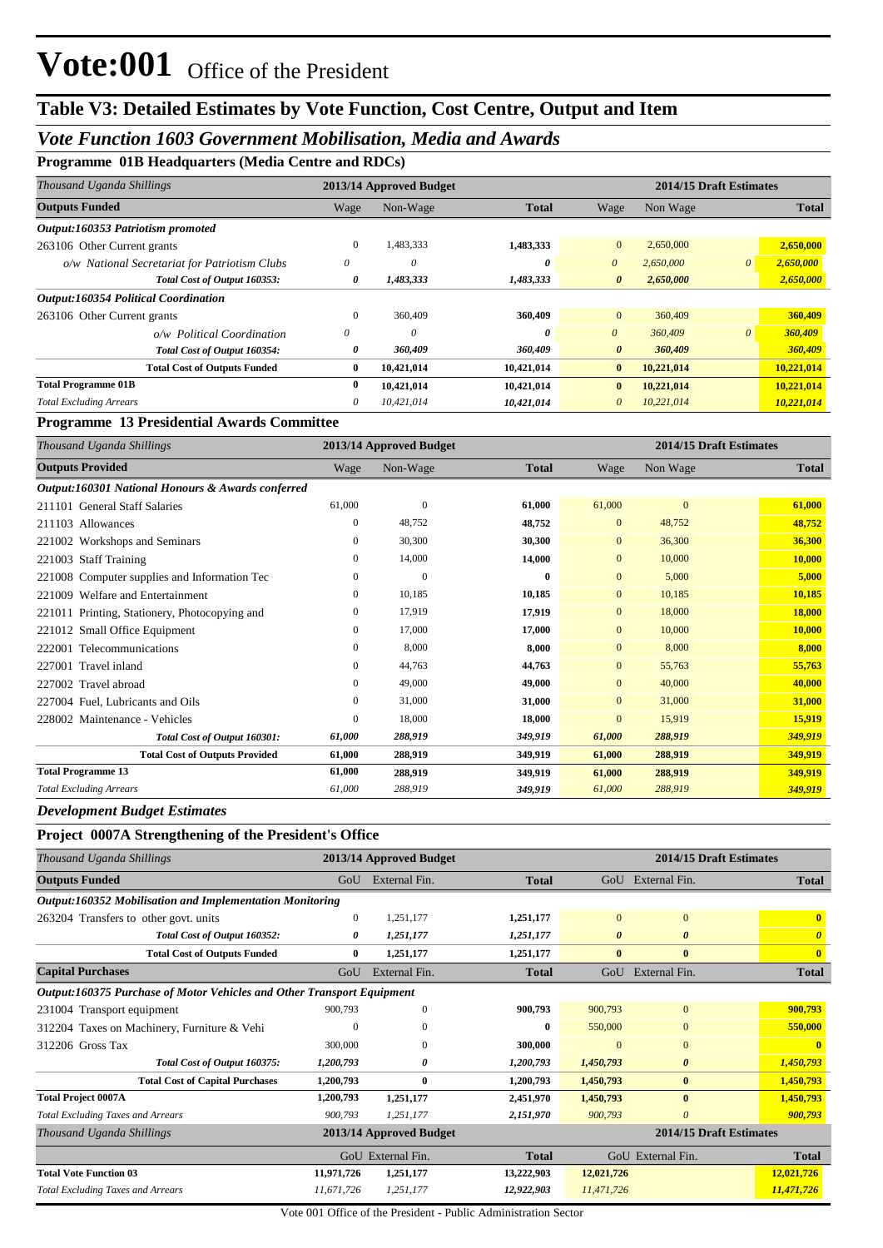## **Table V3: Detailed Estimates by Vote Function, Cost Centre, Output and Item**

## *Vote Function 1603 Government Mobilisation, Media and Awards*

**Programme 01B Headquarters (Media Centre and RDCs)**

| Thousand Uganda Shillings                     |              | 2013/14 Approved Budget |              |                       | 2014/15 Draft Estimates |          |              |
|-----------------------------------------------|--------------|-------------------------|--------------|-----------------------|-------------------------|----------|--------------|
| <b>Outputs Funded</b>                         | Wage         | Non-Wage                | <b>Total</b> | Wage                  | Non Wage                |          | <b>Total</b> |
| Output:160353 Patriotism promoted             |              |                         |              |                       |                         |          |              |
| 263106 Other Current grants                   | $\mathbf{0}$ | 1,483,333               | 1,483,333    | $\mathbf{0}$          | 2,650,000               |          | 2,650,000    |
| o/w National Secretariat for Patriotism Clubs | 0            | 0                       | 0            | $\theta$              | 2,650,000               | $\theta$ | 2,650,000    |
| Total Cost of Output 160353:                  | 0            | 1,483,333               | 1,483,333    | $\boldsymbol{\theta}$ | 2,650,000               |          | 2,650,000    |
| <b>Output:160354 Political Coordination</b>   |              |                         |              |                       |                         |          |              |
| 263106 Other Current grants                   | $\mathbf{0}$ | 360,409                 | 360,409      | $\mathbf{0}$          | 360,409                 |          | 360,409      |
| o/w Political Coordination                    | 0            | 0                       | 0            | $\theta$              | 360,409                 | $\theta$ | 360,409      |
| Total Cost of Output 160354:                  | 0            | 360,409                 | 360,409      | $\boldsymbol{\theta}$ | 360,409                 |          | 360,409      |
| <b>Total Cost of Outputs Funded</b>           | $\bf{0}$     | 10,421,014              | 10,421,014   | $\bf{0}$              | 10,221,014              |          | 10,221,014   |
| <b>Total Programme 01B</b>                    | $\mathbf{0}$ | 10,421,014              | 10,421,014   | $\bf{0}$              | 10,221,014              |          | 10,221,014   |
| <b>Total Excluding Arrears</b>                | $\theta$     | 10,421,014              | 10,421,014   | 0                     | 10,221,014              |          | 10,221,014   |

#### **Programme 13 Presidential Awards Committee**

| Thousand Uganda Shillings                         |        | 2013/14 Approved Budget |              |                | 2014/15 Draft Estimates |              |
|---------------------------------------------------|--------|-------------------------|--------------|----------------|-------------------------|--------------|
| <b>Outputs Provided</b>                           | Wage   | Non-Wage                | <b>Total</b> | Wage           | Non Wage                | <b>Total</b> |
| Output:160301 National Honours & Awards conferred |        |                         |              |                |                         |              |
| 211101 General Staff Salaries                     | 61,000 | $\boldsymbol{0}$        | 61,000       | 61,000         | $\overline{0}$          | 61,000       |
| 211103 Allowances                                 | 0      | 48,752                  | 48,752       | $\mathbf{0}$   | 48,752                  | 48,752       |
| 221002 Workshops and Seminars                     | 0      | 30,300                  | 30,300       | $\mathbf{0}$   | 36,300                  | 36,300       |
| 221003 Staff Training                             | 0      | 14,000                  | 14,000       | $\overline{0}$ | 10,000                  | 10,000       |
| 221008 Computer supplies and Information Tec      | 0      | $\mathbf{0}$            | 0            | $\mathbf{0}$   | 5,000                   | 5,000        |
| 221009 Welfare and Entertainment                  | 0      | 10,185                  | 10,185       | $\mathbf{0}$   | 10,185                  | 10,185       |
| 221011 Printing, Stationery, Photocopying and     | 0      | 17,919                  | 17,919       | $\mathbf{0}$   | 18,000                  | 18,000       |
| 221012 Small Office Equipment                     | 0      | 17,000                  | 17,000       | $\mathbf{0}$   | 10,000                  | 10,000       |
| 222001 Telecommunications                         | 0      | 8,000                   | 8,000        | $\Omega$       | 8,000                   | 8,000        |
| 227001 Travel inland                              | 0      | 44,763                  | 44,763       | $\mathbf{0}$   | 55,763                  | 55,763       |
| 227002 Travel abroad                              | 0      | 49,000                  | 49,000       | $\mathbf{0}$   | 40,000                  | 40,000       |
| 227004 Fuel, Lubricants and Oils                  | 0      | 31,000                  | 31,000       | $\mathbf{0}$   | 31,000                  | 31,000       |
| 228002 Maintenance - Vehicles                     | 0      | 18,000                  | 18,000       | $\mathbf{0}$   | 15,919                  | 15,919       |
| Total Cost of Output 160301:                      | 61,000 | 288,919                 | 349,919      | 61,000         | 288,919                 | 349,919      |
| <b>Total Cost of Outputs Provided</b>             | 61,000 | 288,919                 | 349,919      | 61,000         | 288,919                 | 349,919      |
| <b>Total Programme 13</b>                         | 61,000 | 288,919                 | 349,919      | 61,000         | 288,919                 | 349,919      |
| <b>Total Excluding Arrears</b>                    | 61,000 | 288,919                 | 349,919      | 61,000         | 288,919                 | 349,919      |

#### *Development Budget Estimates*

### **Project 0007A Strengthening of the President's Office**

| Thousand Uganda Shillings                                              | 2014/15 Draft Estimates<br>2013/14 Approved Budget |               |                         |                       |                       |                         |  |  |
|------------------------------------------------------------------------|----------------------------------------------------|---------------|-------------------------|-----------------------|-----------------------|-------------------------|--|--|
| <b>Outputs Funded</b>                                                  | GoU                                                | External Fin. | <b>Total</b>            |                       | GoU External Fin.     | <b>Total</b>            |  |  |
| Output:160352 Mobilisation and Implementation Monitoring               |                                                    |               |                         |                       |                       |                         |  |  |
| 263204 Transfers to other govt. units                                  | $\mathbf{0}$                                       | 1,251,177     | 1,251,177               | $\overline{0}$        | $\mathbf{0}$          | $\mathbf{0}$            |  |  |
| Total Cost of Output 160352:                                           | 0                                                  | 1,251,177     | 1,251,177               | $\boldsymbol{\theta}$ | $\boldsymbol{\theta}$ | $\boldsymbol{\theta}$   |  |  |
| <b>Total Cost of Outputs Funded</b>                                    | $\bf{0}$                                           | 1,251,177     | 1,251,177               | $\mathbf{0}$          | $\mathbf{0}$          | $\overline{\mathbf{0}}$ |  |  |
| <b>Capital Purchases</b>                                               | GoU                                                | External Fin. | <b>Total</b>            | $G_{O}U$              | External Fin.         | <b>Total</b>            |  |  |
| Output:160375 Purchase of Motor Vehicles and Other Transport Equipment |                                                    |               |                         |                       |                       |                         |  |  |
| 231004 Transport equipment                                             | 900,793                                            | $\Omega$      | 900,793                 | 900,793               | $\mathbf{0}$          | 900,793                 |  |  |
| 312204 Taxes on Machinery, Furniture & Vehi                            | $\Omega$                                           | $\Omega$      | $\mathbf{0}$            | 550,000               | $\mathbf{0}$          | 550,000                 |  |  |
| 312206 Gross Tax                                                       | 300,000                                            | $\Omega$      | 300,000                 | $\Omega$              | $\mathbf{0}$          | $\mathbf{0}$            |  |  |
| Total Cost of Output 160375:                                           | 1,200,793                                          | 0             | 1,200,793               | 1,450,793             | $\boldsymbol{\theta}$ | 1,450,793               |  |  |
| <b>Total Cost of Capital Purchases</b>                                 | 1,200,793                                          | $\bf{0}$      | 1,200,793               | 1,450,793             | $\bf{0}$              | 1,450,793               |  |  |
| <b>Total Project 0007A</b>                                             | 1,200,793                                          | 1,251,177     | 2,451,970               | 1,450,793             | $\bf{0}$              | 1,450,793               |  |  |
| <b>Total Excluding Taxes and Arrears</b>                               | 900,793                                            | 1,251,177     | 2,151,970               | 900,793               | $\theta$              | 900,793                 |  |  |
| Thousand Uganda Shillings                                              | 2013/14 Approved Budget                            |               | 2014/15 Draft Estimates |                       |                       |                         |  |  |
|                                                                        | GoU External Fin.                                  |               | <b>Total</b>            |                       | GoU External Fin.     | <b>Total</b>            |  |  |
| <b>Total Vote Function 03</b>                                          | 11,971,726                                         | 1,251,177     | 13,222,903              | 12,021,726            |                       | 12,021,726              |  |  |
| <b>Total Excluding Taxes and Arrears</b>                               | 11.671.726                                         | 1,251,177     | 12,922,903              | 11,471,726            |                       | 11,471,726              |  |  |

Vote 001 Office of the President - Public Administration Sector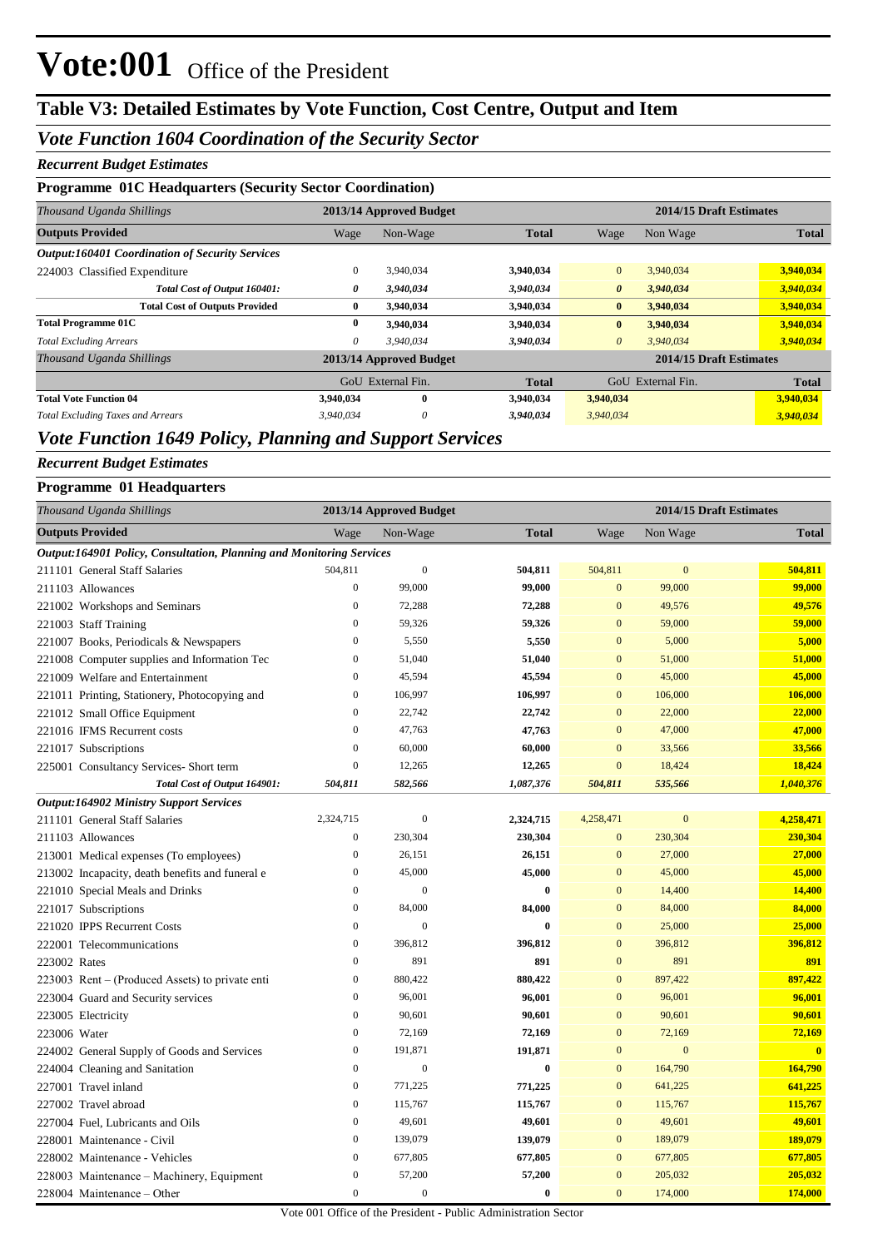## **Table V3: Detailed Estimates by Vote Function, Cost Centre, Output and Item**

### *Vote Function 1604 Coordination of the Security Sector*

#### *Recurrent Budget Estimates*

#### **Programme 01C Headquarters (Security Sector Coordination)**

| Thousand Uganda Shillings                              |                         | 2013/14 Approved Budget |              | 2014/15 Draft Estimates |           |              |  |
|--------------------------------------------------------|-------------------------|-------------------------|--------------|-------------------------|-----------|--------------|--|
| <b>Outputs Provided</b>                                | Wage                    | Non-Wage                | <b>Total</b> | Wage                    | Non Wage  | <b>Total</b> |  |
| <b>Output:160401 Coordination of Security Services</b> |                         |                         |              |                         |           |              |  |
| 224003 Classified Expenditure                          | $\mathbf{0}$            | 3,940,034               | 3,940,034    | $\overline{0}$          | 3,940,034 | 3,940,034    |  |
| Total Cost of Output 160401:                           | 0                       | 3,940,034               | 3,940,034    | $\boldsymbol{\theta}$   | 3,940,034 | 3,940,034    |  |
| <b>Total Cost of Outputs Provided</b>                  | 0                       | 3,940,034               | 3,940,034    | $\bf{0}$                | 3,940,034 | 3,940,034    |  |
| <b>Total Programme 01C</b>                             | 0                       | 3.940.034               | 3,940,034    | $\bf{0}$                | 3,940,034 | 3,940,034    |  |
| <b>Total Excluding Arrears</b>                         | 0                       | 3.940.034               | 3,940,034    | $\theta$                | 3,940,034 | 3,940,034    |  |
| Thousand Uganda Shillings                              | 2013/14 Approved Budget |                         |              | 2014/15 Draft Estimates |           |              |  |
|                                                        |                         | GoU External Fin.       |              | GoU External Fin.       |           | <b>Total</b> |  |
| <b>Total Vote Function 04</b>                          | 3.940.034               | $\bf{0}$                | 3,940,034    | 3,940,034               |           | 3,940,034    |  |
| <b>Total Excluding Taxes and Arrears</b>               | 3,940,034               | 0                       | 3,940,034    | 3,940,034               |           | 3,940,034    |  |

## *Vote Function 1649 Policy, Planning and Support Services*

## *Recurrent Budget Estimates*

#### **Programme 01 Headquarters**

|              | Thousand Uganda Shillings                                            |                  | 2013/14 Approved Budget |              | 2014/15 Draft Estimates |                |              |
|--------------|----------------------------------------------------------------------|------------------|-------------------------|--------------|-------------------------|----------------|--------------|
|              | <b>Outputs Provided</b>                                              | Wage             | Non-Wage                | <b>Total</b> | Wage                    | Non Wage       | <b>Total</b> |
|              | Output:164901 Policy, Consultation, Planning and Monitoring Services |                  |                         |              |                         |                |              |
|              | 211101 General Staff Salaries                                        | 504,811          | $\boldsymbol{0}$        | 504,811      | 504,811                 | $\overline{0}$ | 504,811      |
|              | 211103 Allowances                                                    | $\boldsymbol{0}$ | 99,000                  | 99,000       | $\mathbf{0}$            | 99,000         | 99,000       |
|              | 221002 Workshops and Seminars                                        | $\mathbf{0}$     | 72,288                  | 72,288       | $\mathbf{0}$            | 49,576         | 49,576       |
|              | 221003 Staff Training                                                | $\mathbf{0}$     | 59,326                  | 59,326       | $\mathbf{0}$            | 59,000         | 59,000       |
|              | 221007 Books, Periodicals & Newspapers                               | $\mathbf{0}$     | 5,550                   | 5,550        | $\mathbf{0}$            | 5,000          | 5,000        |
|              | 221008 Computer supplies and Information Tec                         | $\overline{0}$   | 51,040                  | 51,040       | $\mathbf{0}$            | 51,000         | 51,000       |
|              | 221009 Welfare and Entertainment                                     | $\mathbf{0}$     | 45,594                  | 45,594       | $\overline{0}$          | 45,000         | 45,000       |
|              | 221011 Printing, Stationery, Photocopying and                        | $\mathbf{0}$     | 106,997                 | 106,997      | $\mathbf{0}$            | 106,000        | 106,000      |
|              | 221012 Small Office Equipment                                        | $\mathbf{0}$     | 22,742                  | 22,742       | $\overline{0}$          | 22,000         | 22,000       |
|              | 221016 IFMS Recurrent costs                                          | $\overline{0}$   | 47,763                  | 47,763       | $\overline{0}$          | 47,000         | 47,000       |
|              | 221017 Subscriptions                                                 | $\mathbf{0}$     | 60,000                  | 60,000       | $\boldsymbol{0}$        | 33,566         | 33,566       |
|              | 225001 Consultancy Services- Short term                              | $\boldsymbol{0}$ | 12,265                  | 12,265       | $\boldsymbol{0}$        | 18,424         | 18,424       |
|              | Total Cost of Output 164901:                                         | 504,811          | 582,566                 | 1,087,376    | 504,811                 | 535,566        | 1,040,376    |
|              | <b>Output:164902 Ministry Support Services</b>                       |                  |                         |              |                         |                |              |
|              | 211101 General Staff Salaries                                        | 2,324,715        | $\boldsymbol{0}$        | 2,324,715    | 4,258,471               | $\mathbf{0}$   | 4,258,471    |
|              | 211103 Allowances                                                    | $\boldsymbol{0}$ | 230,304                 | 230,304      | $\boldsymbol{0}$        | 230,304        | 230,304      |
|              | 213001 Medical expenses (To employees)                               | $\boldsymbol{0}$ | 26,151                  | 26,151       | $\mathbf{0}$            | 27,000         | 27,000       |
|              | 213002 Incapacity, death benefits and funeral e                      | $\boldsymbol{0}$ | 45,000                  | 45,000       | $\mathbf{0}$            | 45,000         | 45,000       |
|              | 221010 Special Meals and Drinks                                      | $\boldsymbol{0}$ | $\boldsymbol{0}$        | $\bf{0}$     | $\mathbf{0}$            | 14,400         | 14,400       |
|              | 221017 Subscriptions                                                 | $\boldsymbol{0}$ | 84,000                  | 84,000       | $\mathbf{0}$            | 84,000         | 84,000       |
|              | 221020 IPPS Recurrent Costs                                          | $\boldsymbol{0}$ | $\overline{0}$          | $\bf{0}$     | $\mathbf{0}$            | 25,000         | 25,000       |
|              | 222001 Telecommunications                                            | $\boldsymbol{0}$ | 396,812                 | 396,812      | $\mathbf{0}$            | 396,812        | 396,812      |
| 223002 Rates |                                                                      | $\boldsymbol{0}$ | 891                     | 891          | $\mathbf{0}$            | 891            | 891          |
|              | 223003 Rent – (Produced Assets) to private enti                      | $\boldsymbol{0}$ | 880,422                 | 880,422      | $\mathbf{0}$            | 897,422        | 897,422      |
|              | 223004 Guard and Security services                                   | $\boldsymbol{0}$ | 96,001                  | 96,001       | $\mathbf{0}$            | 96,001         | 96,001       |
|              | 223005 Electricity                                                   | $\mathbf{0}$     | 90,601                  | 90,601       | $\mathbf{0}$            | 90,601         | 90,601       |
| 223006 Water |                                                                      | $\boldsymbol{0}$ | 72,169                  | 72,169       | $\mathbf{0}$            | 72,169         | 72,169       |
|              | 224002 General Supply of Goods and Services                          | $\boldsymbol{0}$ | 191,871                 | 191,871      | $\mathbf{0}$            | $\mathbf{0}$   | $\mathbf{0}$ |
|              | 224004 Cleaning and Sanitation                                       | $\boldsymbol{0}$ | $\mathbf{0}$            | $\bf{0}$     | $\mathbf{0}$            | 164,790        | 164,790      |
|              | 227001 Travel inland                                                 | 0                | 771,225                 | 771,225      | $\mathbf{0}$            | 641,225        | 641,225      |
|              | 227002 Travel abroad                                                 | $\boldsymbol{0}$ | 115,767                 | 115,767      | $\mathbf{0}$            | 115,767        | 115,767      |
|              | 227004 Fuel, Lubricants and Oils                                     | $\boldsymbol{0}$ | 49,601                  | 49,601       | $\mathbf{0}$            | 49,601         | 49,601       |
|              | 228001 Maintenance - Civil                                           | $\mathbf{0}$     | 139,079                 | 139,079      | $\mathbf{0}$            | 189,079        | 189,079      |
|              | 228002 Maintenance - Vehicles                                        | $\mathbf{0}$     | 677,805                 | 677,805      | $\mathbf{0}$            | 677,805        | 677,805      |
|              | 228003 Maintenance – Machinery, Equipment                            | $\boldsymbol{0}$ | 57,200                  | 57,200       | $\mathbf{0}$            | 205,032        | 205,032      |
|              | 228004 Maintenance – Other                                           | $\mathbf{0}$     | $\boldsymbol{0}$        | $\bf{0}$     | $\mathbf{0}$            | 174,000        | 174,000      |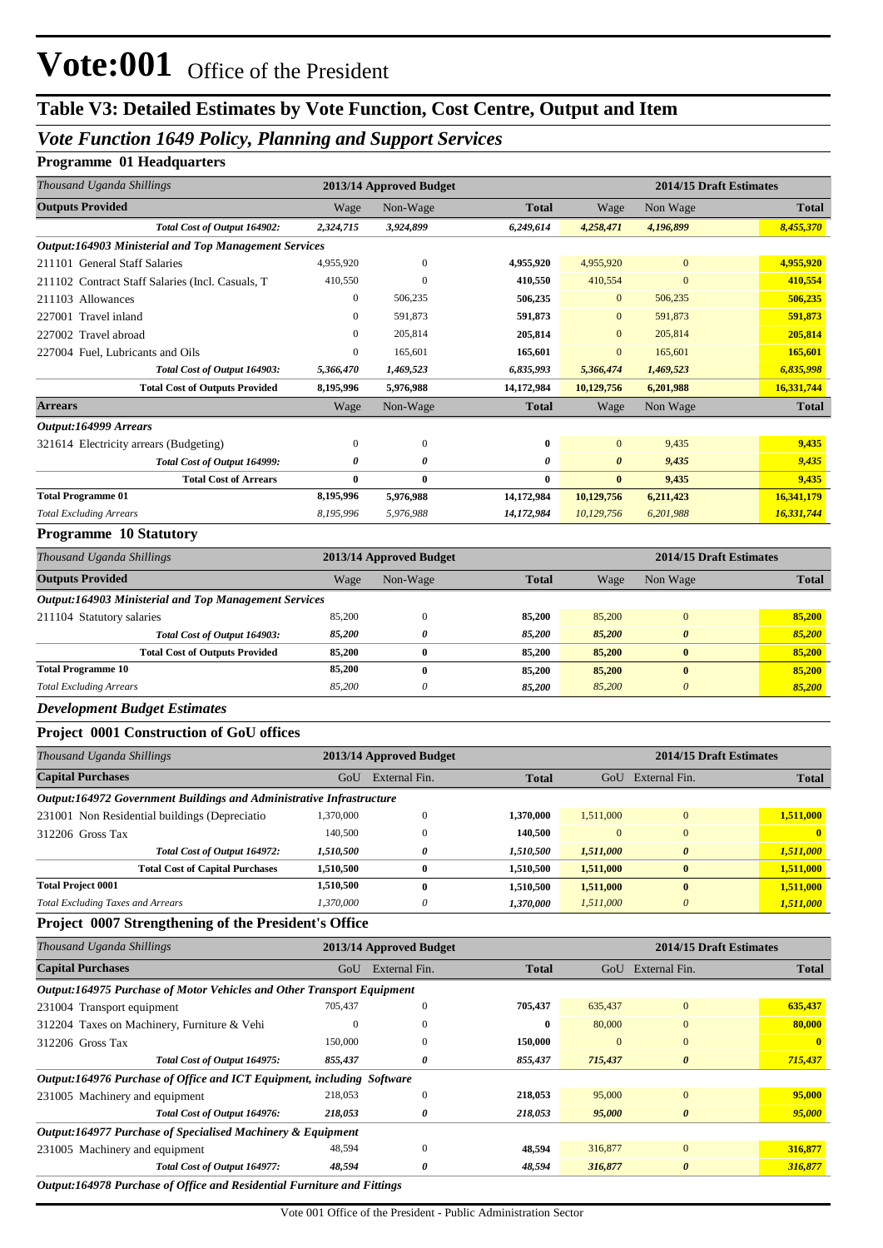## **Table V3: Detailed Estimates by Vote Function, Cost Centre, Output and Item**

## *Vote Function 1649 Policy, Planning and Support Services*

### **Programme 01 Headquarters**

| <b>Total</b><br>Non Wage<br>Wage<br>Non-Wage<br>Wage<br><b>Total</b><br>Total Cost of Output 164902:<br>2,324,715<br>3,924,899<br>6,249,614<br>4,258,471<br>4,196,899<br>8,455,370<br><b>Output:164903 Ministerial and Top Management Services</b><br>4,955,920<br>$\mathbf{0}$<br>$\mathbf{0}$<br>4,955,920<br>4,955,920<br>4,955,920<br>410,550<br>$\overline{0}$<br>410,554<br>$\boldsymbol{0}$<br>410,554<br>410,550<br>$\boldsymbol{0}$<br>506,235<br>$\mathbf{0}$<br>506,235<br>506,235<br>506,235<br>591,873<br>591,873<br>591,873<br>0<br>$\mathbf{0}$<br>591,873<br>205,814<br>205,814<br>205,814<br>205,814<br>0<br>$\mathbf{0}$<br>0<br>165,601<br>165,601<br>165,601<br>165,601<br>$\mathbf{0}$<br>Total Cost of Output 164903:<br>5,366,470<br>1,469,523<br>6,835,993<br>1,469,523<br>6,835,998<br>5,366,474<br>16,331,744<br><b>Total Cost of Outputs Provided</b><br>8,195,996<br>5,976,988<br>14,172,984<br>10,129,756<br>6,201,988<br>Wage<br>Non-Wage<br><b>Total</b><br>Wage<br>Non Wage<br><b>Total</b><br>9,435<br>9,435<br>321614 Electricity arrears (Budgeting)<br>0<br>$\boldsymbol{0}$<br>0<br>$\mathbf{0}$<br>Total Cost of Output 164999:<br>9,435<br>9,435<br>0<br>0<br>0<br>$\boldsymbol{\theta}$<br><b>Total Cost of Arrears</b><br>0<br>$\bf{0}$<br>0<br>$\bf{0}$<br>9,435<br>9,435<br>8,195,996<br>5,976,988<br>14,172,984<br>10,129,756<br>6,211,423<br>16,341,179<br>16,331,744<br>8,195,996<br>5,976,988<br>14,172,984<br>10,129,756<br>6,201,988<br>2014/15 Draft Estimates<br>2013/14 Approved Budget<br><b>Total</b><br><b>Total</b><br>Wage<br>Non-Wage<br>Wage<br>Non Wage<br>Output:164903 Ministerial and Top Management Services<br>$\mathbf{0}$<br>85,200<br>$\bf{0}$<br>85,200<br>211104 Statutory salaries<br>85,200<br>85,200<br>85,200<br>85,200<br>85,200<br>0<br>Total Cost of Output 164903:<br>0<br>85,200<br>$\bf{0}$<br>$\bf{0}$<br>85,200<br>85,200<br>85,200<br>85,200<br><b>Total Cost of Outputs Provided</b><br>85,200<br>$\bf{0}$<br>$\bf{0}$<br>85,200<br>85,200<br>85,200<br>85,200<br>0<br>$\boldsymbol{\theta}$<br>85,200<br>85,200<br>85,200<br>Project 0001 Construction of GoU offices<br>2014/15 Draft Estimates<br>2013/14 Approved Budget<br>GoU External Fin.<br>GoU External Fin.<br><b>Total</b><br><b>Total</b><br>Output:164972 Government Buildings and Administrative Infrastructure<br>$\boldsymbol{0}$<br>1,511,000<br>1,370,000<br>1,370,000<br>1,511,000<br>$\boldsymbol{0}$<br>231001 Non Residential buildings (Depreciatio<br>140,500<br>$\boldsymbol{0}$<br>140,500<br>$\mathbf{0}$<br>$\boldsymbol{0}$<br>$\bf{0}$<br>312206 Gross Tax<br>Total Cost of Output 164972:<br>1,510,500<br>0<br>1,510,500<br>1,511,000<br>0<br>1,511,000<br><b>Total Cost of Capital Purchases</b><br>1,510,500<br>$\bf{0}$<br>1,510,500<br>1,511,000<br>$\boldsymbol{0}$<br>1,511,000<br>1,510,500<br>1,511,000<br>$\bf{0}$<br>1,510,500<br>1,511,000<br>$\boldsymbol{0}$<br>1,370,000<br>1,370,000<br>1,511,000<br>$\boldsymbol{\theta}$<br>1,511,000<br>0<br>Project 0007 Strengthening of the President's Office<br>Thousand Uganda Shillings<br>2013/14 Approved Budget<br>2014/15 Draft Estimates<br><b>Capital Purchases</b><br>GoU External Fin.<br>GoU External Fin.<br><b>Total</b><br><b>Total</b><br>Output:164975 Purchase of Motor Vehicles and Other Transport Equipment<br>635,437<br>$\boldsymbol{0}$<br>705,437<br>705,437<br>635,437<br>$\boldsymbol{0}$<br>231004 Transport equipment<br>$\bf{0}$<br>$\mathbf{0}$<br>80,000<br>$\boldsymbol{0}$<br>80,000<br>312204 Taxes on Machinery, Furniture & Vehi<br>$\bf{0}$<br>150,000<br>$\mathbf{0}$<br>$\mathbf{0}$<br>$\bf{0}$<br>150,000<br>312206 Gross Tax<br>$\mathbf{0}$<br>Total Cost of Output 164975:<br>855,437<br>0<br>$\boldsymbol{\theta}$<br>715,437<br>855,437<br>715,437<br>Output:164976 Purchase of Office and ICT Equipment, including Software<br>95,000<br>218,053<br>$\boldsymbol{0}$<br>$\boldsymbol{0}$<br>218,053<br>95,000<br>231005 Machinery and equipment<br>95,000<br>Total Cost of Output 164976:<br>218,053<br>0<br>0<br>218,053<br>95,000<br>Output:164977 Purchase of Specialised Machinery & Equipment<br>316,877<br>48,594<br>$\mathbf{0}$<br>48,594<br>$\boldsymbol{0}$<br>231005 Machinery and equipment<br>316,877<br>Total Cost of Output 164977:<br>48,594<br>0<br>48,594<br>$\pmb{\theta}$<br>316,877<br>316,877 | Thousand Uganda Shillings                        | 2013/14 Approved Budget<br>2014/15 Draft Estimates |  |  |  |  |
|-----------------------------------------------------------------------------------------------------------------------------------------------------------------------------------------------------------------------------------------------------------------------------------------------------------------------------------------------------------------------------------------------------------------------------------------------------------------------------------------------------------------------------------------------------------------------------------------------------------------------------------------------------------------------------------------------------------------------------------------------------------------------------------------------------------------------------------------------------------------------------------------------------------------------------------------------------------------------------------------------------------------------------------------------------------------------------------------------------------------------------------------------------------------------------------------------------------------------------------------------------------------------------------------------------------------------------------------------------------------------------------------------------------------------------------------------------------------------------------------------------------------------------------------------------------------------------------------------------------------------------------------------------------------------------------------------------------------------------------------------------------------------------------------------------------------------------------------------------------------------------------------------------------------------------------------------------------------------------------------------------------------------------------------------------------------------------------------------------------------------------------------------------------------------------------------------------------------------------------------------------------------------------------------------------------------------------------------------------------------------------------------------------------------------------------------------------------------------------------------------------------------------------------------------------------------------------------------------------------------------------------------------------------------------------------------------------------------------------------------------------------------------------------------------------------------------------------------------------------------------------------------------------------------------------------------------------------------------------------------------------------------------------------------------------------------------------------------------------------------------------------------------------------------------------------------------------------------------------------------------------------------------------------------------------------------------------------------------------------------------------------------------------------------------------------------------------------------------------------------------------------------------------------------------------------------------------------------------------------------------------------------------------------------------------------------------------------------------------------------------------------------------------------------------------------------------------------------------------------------------------------------------------------------------------------------------------------------------------------------------------------------------------------------------------------------------------------------------------------------------------------------------------------------------------------------------------------------------------------------------------------------------------------------------------------------------------------------------------------------------------------------------|--------------------------------------------------|----------------------------------------------------|--|--|--|--|
|                                                                                                                                                                                                                                                                                                                                                                                                                                                                                                                                                                                                                                                                                                                                                                                                                                                                                                                                                                                                                                                                                                                                                                                                                                                                                                                                                                                                                                                                                                                                                                                                                                                                                                                                                                                                                                                                                                                                                                                                                                                                                                                                                                                                                                                                                                                                                                                                                                                                                                                                                                                                                                                                                                                                                                                                                                                                                                                                                                                                                                                                                                                                                                                                                                                                                                                                                                                                                                                                                                                                                                                                                                                                                                                                                                                                                                                                                                                                                                                                                                                                                                                                                                                                                                                                                                                                                                                               | <b>Outputs Provided</b>                          |                                                    |  |  |  |  |
|                                                                                                                                                                                                                                                                                                                                                                                                                                                                                                                                                                                                                                                                                                                                                                                                                                                                                                                                                                                                                                                                                                                                                                                                                                                                                                                                                                                                                                                                                                                                                                                                                                                                                                                                                                                                                                                                                                                                                                                                                                                                                                                                                                                                                                                                                                                                                                                                                                                                                                                                                                                                                                                                                                                                                                                                                                                                                                                                                                                                                                                                                                                                                                                                                                                                                                                                                                                                                                                                                                                                                                                                                                                                                                                                                                                                                                                                                                                                                                                                                                                                                                                                                                                                                                                                                                                                                                                               |                                                  |                                                    |  |  |  |  |
|                                                                                                                                                                                                                                                                                                                                                                                                                                                                                                                                                                                                                                                                                                                                                                                                                                                                                                                                                                                                                                                                                                                                                                                                                                                                                                                                                                                                                                                                                                                                                                                                                                                                                                                                                                                                                                                                                                                                                                                                                                                                                                                                                                                                                                                                                                                                                                                                                                                                                                                                                                                                                                                                                                                                                                                                                                                                                                                                                                                                                                                                                                                                                                                                                                                                                                                                                                                                                                                                                                                                                                                                                                                                                                                                                                                                                                                                                                                                                                                                                                                                                                                                                                                                                                                                                                                                                                                               |                                                  |                                                    |  |  |  |  |
|                                                                                                                                                                                                                                                                                                                                                                                                                                                                                                                                                                                                                                                                                                                                                                                                                                                                                                                                                                                                                                                                                                                                                                                                                                                                                                                                                                                                                                                                                                                                                                                                                                                                                                                                                                                                                                                                                                                                                                                                                                                                                                                                                                                                                                                                                                                                                                                                                                                                                                                                                                                                                                                                                                                                                                                                                                                                                                                                                                                                                                                                                                                                                                                                                                                                                                                                                                                                                                                                                                                                                                                                                                                                                                                                                                                                                                                                                                                                                                                                                                                                                                                                                                                                                                                                                                                                                                                               | 211101 General Staff Salaries                    |                                                    |  |  |  |  |
|                                                                                                                                                                                                                                                                                                                                                                                                                                                                                                                                                                                                                                                                                                                                                                                                                                                                                                                                                                                                                                                                                                                                                                                                                                                                                                                                                                                                                                                                                                                                                                                                                                                                                                                                                                                                                                                                                                                                                                                                                                                                                                                                                                                                                                                                                                                                                                                                                                                                                                                                                                                                                                                                                                                                                                                                                                                                                                                                                                                                                                                                                                                                                                                                                                                                                                                                                                                                                                                                                                                                                                                                                                                                                                                                                                                                                                                                                                                                                                                                                                                                                                                                                                                                                                                                                                                                                                                               | 211102 Contract Staff Salaries (Incl. Casuals, T |                                                    |  |  |  |  |
|                                                                                                                                                                                                                                                                                                                                                                                                                                                                                                                                                                                                                                                                                                                                                                                                                                                                                                                                                                                                                                                                                                                                                                                                                                                                                                                                                                                                                                                                                                                                                                                                                                                                                                                                                                                                                                                                                                                                                                                                                                                                                                                                                                                                                                                                                                                                                                                                                                                                                                                                                                                                                                                                                                                                                                                                                                                                                                                                                                                                                                                                                                                                                                                                                                                                                                                                                                                                                                                                                                                                                                                                                                                                                                                                                                                                                                                                                                                                                                                                                                                                                                                                                                                                                                                                                                                                                                                               | 211103 Allowances                                |                                                    |  |  |  |  |
|                                                                                                                                                                                                                                                                                                                                                                                                                                                                                                                                                                                                                                                                                                                                                                                                                                                                                                                                                                                                                                                                                                                                                                                                                                                                                                                                                                                                                                                                                                                                                                                                                                                                                                                                                                                                                                                                                                                                                                                                                                                                                                                                                                                                                                                                                                                                                                                                                                                                                                                                                                                                                                                                                                                                                                                                                                                                                                                                                                                                                                                                                                                                                                                                                                                                                                                                                                                                                                                                                                                                                                                                                                                                                                                                                                                                                                                                                                                                                                                                                                                                                                                                                                                                                                                                                                                                                                                               | 227001 Travel inland                             |                                                    |  |  |  |  |
|                                                                                                                                                                                                                                                                                                                                                                                                                                                                                                                                                                                                                                                                                                                                                                                                                                                                                                                                                                                                                                                                                                                                                                                                                                                                                                                                                                                                                                                                                                                                                                                                                                                                                                                                                                                                                                                                                                                                                                                                                                                                                                                                                                                                                                                                                                                                                                                                                                                                                                                                                                                                                                                                                                                                                                                                                                                                                                                                                                                                                                                                                                                                                                                                                                                                                                                                                                                                                                                                                                                                                                                                                                                                                                                                                                                                                                                                                                                                                                                                                                                                                                                                                                                                                                                                                                                                                                                               | 227002 Travel abroad                             |                                                    |  |  |  |  |
|                                                                                                                                                                                                                                                                                                                                                                                                                                                                                                                                                                                                                                                                                                                                                                                                                                                                                                                                                                                                                                                                                                                                                                                                                                                                                                                                                                                                                                                                                                                                                                                                                                                                                                                                                                                                                                                                                                                                                                                                                                                                                                                                                                                                                                                                                                                                                                                                                                                                                                                                                                                                                                                                                                                                                                                                                                                                                                                                                                                                                                                                                                                                                                                                                                                                                                                                                                                                                                                                                                                                                                                                                                                                                                                                                                                                                                                                                                                                                                                                                                                                                                                                                                                                                                                                                                                                                                                               | 227004 Fuel, Lubricants and Oils                 |                                                    |  |  |  |  |
|                                                                                                                                                                                                                                                                                                                                                                                                                                                                                                                                                                                                                                                                                                                                                                                                                                                                                                                                                                                                                                                                                                                                                                                                                                                                                                                                                                                                                                                                                                                                                                                                                                                                                                                                                                                                                                                                                                                                                                                                                                                                                                                                                                                                                                                                                                                                                                                                                                                                                                                                                                                                                                                                                                                                                                                                                                                                                                                                                                                                                                                                                                                                                                                                                                                                                                                                                                                                                                                                                                                                                                                                                                                                                                                                                                                                                                                                                                                                                                                                                                                                                                                                                                                                                                                                                                                                                                                               |                                                  |                                                    |  |  |  |  |
|                                                                                                                                                                                                                                                                                                                                                                                                                                                                                                                                                                                                                                                                                                                                                                                                                                                                                                                                                                                                                                                                                                                                                                                                                                                                                                                                                                                                                                                                                                                                                                                                                                                                                                                                                                                                                                                                                                                                                                                                                                                                                                                                                                                                                                                                                                                                                                                                                                                                                                                                                                                                                                                                                                                                                                                                                                                                                                                                                                                                                                                                                                                                                                                                                                                                                                                                                                                                                                                                                                                                                                                                                                                                                                                                                                                                                                                                                                                                                                                                                                                                                                                                                                                                                                                                                                                                                                                               |                                                  |                                                    |  |  |  |  |
|                                                                                                                                                                                                                                                                                                                                                                                                                                                                                                                                                                                                                                                                                                                                                                                                                                                                                                                                                                                                                                                                                                                                                                                                                                                                                                                                                                                                                                                                                                                                                                                                                                                                                                                                                                                                                                                                                                                                                                                                                                                                                                                                                                                                                                                                                                                                                                                                                                                                                                                                                                                                                                                                                                                                                                                                                                                                                                                                                                                                                                                                                                                                                                                                                                                                                                                                                                                                                                                                                                                                                                                                                                                                                                                                                                                                                                                                                                                                                                                                                                                                                                                                                                                                                                                                                                                                                                                               | <b>Arrears</b>                                   |                                                    |  |  |  |  |
|                                                                                                                                                                                                                                                                                                                                                                                                                                                                                                                                                                                                                                                                                                                                                                                                                                                                                                                                                                                                                                                                                                                                                                                                                                                                                                                                                                                                                                                                                                                                                                                                                                                                                                                                                                                                                                                                                                                                                                                                                                                                                                                                                                                                                                                                                                                                                                                                                                                                                                                                                                                                                                                                                                                                                                                                                                                                                                                                                                                                                                                                                                                                                                                                                                                                                                                                                                                                                                                                                                                                                                                                                                                                                                                                                                                                                                                                                                                                                                                                                                                                                                                                                                                                                                                                                                                                                                                               | Output:164999 Arrears                            |                                                    |  |  |  |  |
|                                                                                                                                                                                                                                                                                                                                                                                                                                                                                                                                                                                                                                                                                                                                                                                                                                                                                                                                                                                                                                                                                                                                                                                                                                                                                                                                                                                                                                                                                                                                                                                                                                                                                                                                                                                                                                                                                                                                                                                                                                                                                                                                                                                                                                                                                                                                                                                                                                                                                                                                                                                                                                                                                                                                                                                                                                                                                                                                                                                                                                                                                                                                                                                                                                                                                                                                                                                                                                                                                                                                                                                                                                                                                                                                                                                                                                                                                                                                                                                                                                                                                                                                                                                                                                                                                                                                                                                               |                                                  |                                                    |  |  |  |  |
|                                                                                                                                                                                                                                                                                                                                                                                                                                                                                                                                                                                                                                                                                                                                                                                                                                                                                                                                                                                                                                                                                                                                                                                                                                                                                                                                                                                                                                                                                                                                                                                                                                                                                                                                                                                                                                                                                                                                                                                                                                                                                                                                                                                                                                                                                                                                                                                                                                                                                                                                                                                                                                                                                                                                                                                                                                                                                                                                                                                                                                                                                                                                                                                                                                                                                                                                                                                                                                                                                                                                                                                                                                                                                                                                                                                                                                                                                                                                                                                                                                                                                                                                                                                                                                                                                                                                                                                               |                                                  |                                                    |  |  |  |  |
|                                                                                                                                                                                                                                                                                                                                                                                                                                                                                                                                                                                                                                                                                                                                                                                                                                                                                                                                                                                                                                                                                                                                                                                                                                                                                                                                                                                                                                                                                                                                                                                                                                                                                                                                                                                                                                                                                                                                                                                                                                                                                                                                                                                                                                                                                                                                                                                                                                                                                                                                                                                                                                                                                                                                                                                                                                                                                                                                                                                                                                                                                                                                                                                                                                                                                                                                                                                                                                                                                                                                                                                                                                                                                                                                                                                                                                                                                                                                                                                                                                                                                                                                                                                                                                                                                                                                                                                               |                                                  |                                                    |  |  |  |  |
|                                                                                                                                                                                                                                                                                                                                                                                                                                                                                                                                                                                                                                                                                                                                                                                                                                                                                                                                                                                                                                                                                                                                                                                                                                                                                                                                                                                                                                                                                                                                                                                                                                                                                                                                                                                                                                                                                                                                                                                                                                                                                                                                                                                                                                                                                                                                                                                                                                                                                                                                                                                                                                                                                                                                                                                                                                                                                                                                                                                                                                                                                                                                                                                                                                                                                                                                                                                                                                                                                                                                                                                                                                                                                                                                                                                                                                                                                                                                                                                                                                                                                                                                                                                                                                                                                                                                                                                               | <b>Total Programme 01</b>                        |                                                    |  |  |  |  |
|                                                                                                                                                                                                                                                                                                                                                                                                                                                                                                                                                                                                                                                                                                                                                                                                                                                                                                                                                                                                                                                                                                                                                                                                                                                                                                                                                                                                                                                                                                                                                                                                                                                                                                                                                                                                                                                                                                                                                                                                                                                                                                                                                                                                                                                                                                                                                                                                                                                                                                                                                                                                                                                                                                                                                                                                                                                                                                                                                                                                                                                                                                                                                                                                                                                                                                                                                                                                                                                                                                                                                                                                                                                                                                                                                                                                                                                                                                                                                                                                                                                                                                                                                                                                                                                                                                                                                                                               | <b>Total Excluding Arrears</b>                   |                                                    |  |  |  |  |
|                                                                                                                                                                                                                                                                                                                                                                                                                                                                                                                                                                                                                                                                                                                                                                                                                                                                                                                                                                                                                                                                                                                                                                                                                                                                                                                                                                                                                                                                                                                                                                                                                                                                                                                                                                                                                                                                                                                                                                                                                                                                                                                                                                                                                                                                                                                                                                                                                                                                                                                                                                                                                                                                                                                                                                                                                                                                                                                                                                                                                                                                                                                                                                                                                                                                                                                                                                                                                                                                                                                                                                                                                                                                                                                                                                                                                                                                                                                                                                                                                                                                                                                                                                                                                                                                                                                                                                                               | <b>Programme 10 Statutory</b>                    |                                                    |  |  |  |  |
|                                                                                                                                                                                                                                                                                                                                                                                                                                                                                                                                                                                                                                                                                                                                                                                                                                                                                                                                                                                                                                                                                                                                                                                                                                                                                                                                                                                                                                                                                                                                                                                                                                                                                                                                                                                                                                                                                                                                                                                                                                                                                                                                                                                                                                                                                                                                                                                                                                                                                                                                                                                                                                                                                                                                                                                                                                                                                                                                                                                                                                                                                                                                                                                                                                                                                                                                                                                                                                                                                                                                                                                                                                                                                                                                                                                                                                                                                                                                                                                                                                                                                                                                                                                                                                                                                                                                                                                               | Thousand Uganda Shillings                        |                                                    |  |  |  |  |
|                                                                                                                                                                                                                                                                                                                                                                                                                                                                                                                                                                                                                                                                                                                                                                                                                                                                                                                                                                                                                                                                                                                                                                                                                                                                                                                                                                                                                                                                                                                                                                                                                                                                                                                                                                                                                                                                                                                                                                                                                                                                                                                                                                                                                                                                                                                                                                                                                                                                                                                                                                                                                                                                                                                                                                                                                                                                                                                                                                                                                                                                                                                                                                                                                                                                                                                                                                                                                                                                                                                                                                                                                                                                                                                                                                                                                                                                                                                                                                                                                                                                                                                                                                                                                                                                                                                                                                                               | <b>Outputs Provided</b>                          |                                                    |  |  |  |  |
|                                                                                                                                                                                                                                                                                                                                                                                                                                                                                                                                                                                                                                                                                                                                                                                                                                                                                                                                                                                                                                                                                                                                                                                                                                                                                                                                                                                                                                                                                                                                                                                                                                                                                                                                                                                                                                                                                                                                                                                                                                                                                                                                                                                                                                                                                                                                                                                                                                                                                                                                                                                                                                                                                                                                                                                                                                                                                                                                                                                                                                                                                                                                                                                                                                                                                                                                                                                                                                                                                                                                                                                                                                                                                                                                                                                                                                                                                                                                                                                                                                                                                                                                                                                                                                                                                                                                                                                               |                                                  |                                                    |  |  |  |  |
|                                                                                                                                                                                                                                                                                                                                                                                                                                                                                                                                                                                                                                                                                                                                                                                                                                                                                                                                                                                                                                                                                                                                                                                                                                                                                                                                                                                                                                                                                                                                                                                                                                                                                                                                                                                                                                                                                                                                                                                                                                                                                                                                                                                                                                                                                                                                                                                                                                                                                                                                                                                                                                                                                                                                                                                                                                                                                                                                                                                                                                                                                                                                                                                                                                                                                                                                                                                                                                                                                                                                                                                                                                                                                                                                                                                                                                                                                                                                                                                                                                                                                                                                                                                                                                                                                                                                                                                               |                                                  |                                                    |  |  |  |  |
|                                                                                                                                                                                                                                                                                                                                                                                                                                                                                                                                                                                                                                                                                                                                                                                                                                                                                                                                                                                                                                                                                                                                                                                                                                                                                                                                                                                                                                                                                                                                                                                                                                                                                                                                                                                                                                                                                                                                                                                                                                                                                                                                                                                                                                                                                                                                                                                                                                                                                                                                                                                                                                                                                                                                                                                                                                                                                                                                                                                                                                                                                                                                                                                                                                                                                                                                                                                                                                                                                                                                                                                                                                                                                                                                                                                                                                                                                                                                                                                                                                                                                                                                                                                                                                                                                                                                                                                               |                                                  |                                                    |  |  |  |  |
|                                                                                                                                                                                                                                                                                                                                                                                                                                                                                                                                                                                                                                                                                                                                                                                                                                                                                                                                                                                                                                                                                                                                                                                                                                                                                                                                                                                                                                                                                                                                                                                                                                                                                                                                                                                                                                                                                                                                                                                                                                                                                                                                                                                                                                                                                                                                                                                                                                                                                                                                                                                                                                                                                                                                                                                                                                                                                                                                                                                                                                                                                                                                                                                                                                                                                                                                                                                                                                                                                                                                                                                                                                                                                                                                                                                                                                                                                                                                                                                                                                                                                                                                                                                                                                                                                                                                                                                               |                                                  |                                                    |  |  |  |  |
|                                                                                                                                                                                                                                                                                                                                                                                                                                                                                                                                                                                                                                                                                                                                                                                                                                                                                                                                                                                                                                                                                                                                                                                                                                                                                                                                                                                                                                                                                                                                                                                                                                                                                                                                                                                                                                                                                                                                                                                                                                                                                                                                                                                                                                                                                                                                                                                                                                                                                                                                                                                                                                                                                                                                                                                                                                                                                                                                                                                                                                                                                                                                                                                                                                                                                                                                                                                                                                                                                                                                                                                                                                                                                                                                                                                                                                                                                                                                                                                                                                                                                                                                                                                                                                                                                                                                                                                               | <b>Total Programme 10</b>                        |                                                    |  |  |  |  |
|                                                                                                                                                                                                                                                                                                                                                                                                                                                                                                                                                                                                                                                                                                                                                                                                                                                                                                                                                                                                                                                                                                                                                                                                                                                                                                                                                                                                                                                                                                                                                                                                                                                                                                                                                                                                                                                                                                                                                                                                                                                                                                                                                                                                                                                                                                                                                                                                                                                                                                                                                                                                                                                                                                                                                                                                                                                                                                                                                                                                                                                                                                                                                                                                                                                                                                                                                                                                                                                                                                                                                                                                                                                                                                                                                                                                                                                                                                                                                                                                                                                                                                                                                                                                                                                                                                                                                                                               | <b>Total Excluding Arrears</b>                   |                                                    |  |  |  |  |
|                                                                                                                                                                                                                                                                                                                                                                                                                                                                                                                                                                                                                                                                                                                                                                                                                                                                                                                                                                                                                                                                                                                                                                                                                                                                                                                                                                                                                                                                                                                                                                                                                                                                                                                                                                                                                                                                                                                                                                                                                                                                                                                                                                                                                                                                                                                                                                                                                                                                                                                                                                                                                                                                                                                                                                                                                                                                                                                                                                                                                                                                                                                                                                                                                                                                                                                                                                                                                                                                                                                                                                                                                                                                                                                                                                                                                                                                                                                                                                                                                                                                                                                                                                                                                                                                                                                                                                                               | <b>Development Budget Estimates</b>              |                                                    |  |  |  |  |
|                                                                                                                                                                                                                                                                                                                                                                                                                                                                                                                                                                                                                                                                                                                                                                                                                                                                                                                                                                                                                                                                                                                                                                                                                                                                                                                                                                                                                                                                                                                                                                                                                                                                                                                                                                                                                                                                                                                                                                                                                                                                                                                                                                                                                                                                                                                                                                                                                                                                                                                                                                                                                                                                                                                                                                                                                                                                                                                                                                                                                                                                                                                                                                                                                                                                                                                                                                                                                                                                                                                                                                                                                                                                                                                                                                                                                                                                                                                                                                                                                                                                                                                                                                                                                                                                                                                                                                                               |                                                  |                                                    |  |  |  |  |
|                                                                                                                                                                                                                                                                                                                                                                                                                                                                                                                                                                                                                                                                                                                                                                                                                                                                                                                                                                                                                                                                                                                                                                                                                                                                                                                                                                                                                                                                                                                                                                                                                                                                                                                                                                                                                                                                                                                                                                                                                                                                                                                                                                                                                                                                                                                                                                                                                                                                                                                                                                                                                                                                                                                                                                                                                                                                                                                                                                                                                                                                                                                                                                                                                                                                                                                                                                                                                                                                                                                                                                                                                                                                                                                                                                                                                                                                                                                                                                                                                                                                                                                                                                                                                                                                                                                                                                                               | Thousand Uganda Shillings                        |                                                    |  |  |  |  |
|                                                                                                                                                                                                                                                                                                                                                                                                                                                                                                                                                                                                                                                                                                                                                                                                                                                                                                                                                                                                                                                                                                                                                                                                                                                                                                                                                                                                                                                                                                                                                                                                                                                                                                                                                                                                                                                                                                                                                                                                                                                                                                                                                                                                                                                                                                                                                                                                                                                                                                                                                                                                                                                                                                                                                                                                                                                                                                                                                                                                                                                                                                                                                                                                                                                                                                                                                                                                                                                                                                                                                                                                                                                                                                                                                                                                                                                                                                                                                                                                                                                                                                                                                                                                                                                                                                                                                                                               | <b>Capital Purchases</b>                         |                                                    |  |  |  |  |
|                                                                                                                                                                                                                                                                                                                                                                                                                                                                                                                                                                                                                                                                                                                                                                                                                                                                                                                                                                                                                                                                                                                                                                                                                                                                                                                                                                                                                                                                                                                                                                                                                                                                                                                                                                                                                                                                                                                                                                                                                                                                                                                                                                                                                                                                                                                                                                                                                                                                                                                                                                                                                                                                                                                                                                                                                                                                                                                                                                                                                                                                                                                                                                                                                                                                                                                                                                                                                                                                                                                                                                                                                                                                                                                                                                                                                                                                                                                                                                                                                                                                                                                                                                                                                                                                                                                                                                                               |                                                  |                                                    |  |  |  |  |
|                                                                                                                                                                                                                                                                                                                                                                                                                                                                                                                                                                                                                                                                                                                                                                                                                                                                                                                                                                                                                                                                                                                                                                                                                                                                                                                                                                                                                                                                                                                                                                                                                                                                                                                                                                                                                                                                                                                                                                                                                                                                                                                                                                                                                                                                                                                                                                                                                                                                                                                                                                                                                                                                                                                                                                                                                                                                                                                                                                                                                                                                                                                                                                                                                                                                                                                                                                                                                                                                                                                                                                                                                                                                                                                                                                                                                                                                                                                                                                                                                                                                                                                                                                                                                                                                                                                                                                                               |                                                  |                                                    |  |  |  |  |
|                                                                                                                                                                                                                                                                                                                                                                                                                                                                                                                                                                                                                                                                                                                                                                                                                                                                                                                                                                                                                                                                                                                                                                                                                                                                                                                                                                                                                                                                                                                                                                                                                                                                                                                                                                                                                                                                                                                                                                                                                                                                                                                                                                                                                                                                                                                                                                                                                                                                                                                                                                                                                                                                                                                                                                                                                                                                                                                                                                                                                                                                                                                                                                                                                                                                                                                                                                                                                                                                                                                                                                                                                                                                                                                                                                                                                                                                                                                                                                                                                                                                                                                                                                                                                                                                                                                                                                                               |                                                  |                                                    |  |  |  |  |
|                                                                                                                                                                                                                                                                                                                                                                                                                                                                                                                                                                                                                                                                                                                                                                                                                                                                                                                                                                                                                                                                                                                                                                                                                                                                                                                                                                                                                                                                                                                                                                                                                                                                                                                                                                                                                                                                                                                                                                                                                                                                                                                                                                                                                                                                                                                                                                                                                                                                                                                                                                                                                                                                                                                                                                                                                                                                                                                                                                                                                                                                                                                                                                                                                                                                                                                                                                                                                                                                                                                                                                                                                                                                                                                                                                                                                                                                                                                                                                                                                                                                                                                                                                                                                                                                                                                                                                                               |                                                  |                                                    |  |  |  |  |
|                                                                                                                                                                                                                                                                                                                                                                                                                                                                                                                                                                                                                                                                                                                                                                                                                                                                                                                                                                                                                                                                                                                                                                                                                                                                                                                                                                                                                                                                                                                                                                                                                                                                                                                                                                                                                                                                                                                                                                                                                                                                                                                                                                                                                                                                                                                                                                                                                                                                                                                                                                                                                                                                                                                                                                                                                                                                                                                                                                                                                                                                                                                                                                                                                                                                                                                                                                                                                                                                                                                                                                                                                                                                                                                                                                                                                                                                                                                                                                                                                                                                                                                                                                                                                                                                                                                                                                                               |                                                  |                                                    |  |  |  |  |
|                                                                                                                                                                                                                                                                                                                                                                                                                                                                                                                                                                                                                                                                                                                                                                                                                                                                                                                                                                                                                                                                                                                                                                                                                                                                                                                                                                                                                                                                                                                                                                                                                                                                                                                                                                                                                                                                                                                                                                                                                                                                                                                                                                                                                                                                                                                                                                                                                                                                                                                                                                                                                                                                                                                                                                                                                                                                                                                                                                                                                                                                                                                                                                                                                                                                                                                                                                                                                                                                                                                                                                                                                                                                                                                                                                                                                                                                                                                                                                                                                                                                                                                                                                                                                                                                                                                                                                                               | <b>Total Project 0001</b>                        |                                                    |  |  |  |  |
|                                                                                                                                                                                                                                                                                                                                                                                                                                                                                                                                                                                                                                                                                                                                                                                                                                                                                                                                                                                                                                                                                                                                                                                                                                                                                                                                                                                                                                                                                                                                                                                                                                                                                                                                                                                                                                                                                                                                                                                                                                                                                                                                                                                                                                                                                                                                                                                                                                                                                                                                                                                                                                                                                                                                                                                                                                                                                                                                                                                                                                                                                                                                                                                                                                                                                                                                                                                                                                                                                                                                                                                                                                                                                                                                                                                                                                                                                                                                                                                                                                                                                                                                                                                                                                                                                                                                                                                               | <b>Total Excluding Taxes and Arrears</b>         |                                                    |  |  |  |  |
|                                                                                                                                                                                                                                                                                                                                                                                                                                                                                                                                                                                                                                                                                                                                                                                                                                                                                                                                                                                                                                                                                                                                                                                                                                                                                                                                                                                                                                                                                                                                                                                                                                                                                                                                                                                                                                                                                                                                                                                                                                                                                                                                                                                                                                                                                                                                                                                                                                                                                                                                                                                                                                                                                                                                                                                                                                                                                                                                                                                                                                                                                                                                                                                                                                                                                                                                                                                                                                                                                                                                                                                                                                                                                                                                                                                                                                                                                                                                                                                                                                                                                                                                                                                                                                                                                                                                                                                               |                                                  |                                                    |  |  |  |  |
|                                                                                                                                                                                                                                                                                                                                                                                                                                                                                                                                                                                                                                                                                                                                                                                                                                                                                                                                                                                                                                                                                                                                                                                                                                                                                                                                                                                                                                                                                                                                                                                                                                                                                                                                                                                                                                                                                                                                                                                                                                                                                                                                                                                                                                                                                                                                                                                                                                                                                                                                                                                                                                                                                                                                                                                                                                                                                                                                                                                                                                                                                                                                                                                                                                                                                                                                                                                                                                                                                                                                                                                                                                                                                                                                                                                                                                                                                                                                                                                                                                                                                                                                                                                                                                                                                                                                                                                               |                                                  |                                                    |  |  |  |  |
|                                                                                                                                                                                                                                                                                                                                                                                                                                                                                                                                                                                                                                                                                                                                                                                                                                                                                                                                                                                                                                                                                                                                                                                                                                                                                                                                                                                                                                                                                                                                                                                                                                                                                                                                                                                                                                                                                                                                                                                                                                                                                                                                                                                                                                                                                                                                                                                                                                                                                                                                                                                                                                                                                                                                                                                                                                                                                                                                                                                                                                                                                                                                                                                                                                                                                                                                                                                                                                                                                                                                                                                                                                                                                                                                                                                                                                                                                                                                                                                                                                                                                                                                                                                                                                                                                                                                                                                               |                                                  |                                                    |  |  |  |  |
|                                                                                                                                                                                                                                                                                                                                                                                                                                                                                                                                                                                                                                                                                                                                                                                                                                                                                                                                                                                                                                                                                                                                                                                                                                                                                                                                                                                                                                                                                                                                                                                                                                                                                                                                                                                                                                                                                                                                                                                                                                                                                                                                                                                                                                                                                                                                                                                                                                                                                                                                                                                                                                                                                                                                                                                                                                                                                                                                                                                                                                                                                                                                                                                                                                                                                                                                                                                                                                                                                                                                                                                                                                                                                                                                                                                                                                                                                                                                                                                                                                                                                                                                                                                                                                                                                                                                                                                               |                                                  |                                                    |  |  |  |  |
|                                                                                                                                                                                                                                                                                                                                                                                                                                                                                                                                                                                                                                                                                                                                                                                                                                                                                                                                                                                                                                                                                                                                                                                                                                                                                                                                                                                                                                                                                                                                                                                                                                                                                                                                                                                                                                                                                                                                                                                                                                                                                                                                                                                                                                                                                                                                                                                                                                                                                                                                                                                                                                                                                                                                                                                                                                                                                                                                                                                                                                                                                                                                                                                                                                                                                                                                                                                                                                                                                                                                                                                                                                                                                                                                                                                                                                                                                                                                                                                                                                                                                                                                                                                                                                                                                                                                                                                               |                                                  |                                                    |  |  |  |  |
|                                                                                                                                                                                                                                                                                                                                                                                                                                                                                                                                                                                                                                                                                                                                                                                                                                                                                                                                                                                                                                                                                                                                                                                                                                                                                                                                                                                                                                                                                                                                                                                                                                                                                                                                                                                                                                                                                                                                                                                                                                                                                                                                                                                                                                                                                                                                                                                                                                                                                                                                                                                                                                                                                                                                                                                                                                                                                                                                                                                                                                                                                                                                                                                                                                                                                                                                                                                                                                                                                                                                                                                                                                                                                                                                                                                                                                                                                                                                                                                                                                                                                                                                                                                                                                                                                                                                                                                               |                                                  |                                                    |  |  |  |  |
|                                                                                                                                                                                                                                                                                                                                                                                                                                                                                                                                                                                                                                                                                                                                                                                                                                                                                                                                                                                                                                                                                                                                                                                                                                                                                                                                                                                                                                                                                                                                                                                                                                                                                                                                                                                                                                                                                                                                                                                                                                                                                                                                                                                                                                                                                                                                                                                                                                                                                                                                                                                                                                                                                                                                                                                                                                                                                                                                                                                                                                                                                                                                                                                                                                                                                                                                                                                                                                                                                                                                                                                                                                                                                                                                                                                                                                                                                                                                                                                                                                                                                                                                                                                                                                                                                                                                                                                               |                                                  |                                                    |  |  |  |  |
|                                                                                                                                                                                                                                                                                                                                                                                                                                                                                                                                                                                                                                                                                                                                                                                                                                                                                                                                                                                                                                                                                                                                                                                                                                                                                                                                                                                                                                                                                                                                                                                                                                                                                                                                                                                                                                                                                                                                                                                                                                                                                                                                                                                                                                                                                                                                                                                                                                                                                                                                                                                                                                                                                                                                                                                                                                                                                                                                                                                                                                                                                                                                                                                                                                                                                                                                                                                                                                                                                                                                                                                                                                                                                                                                                                                                                                                                                                                                                                                                                                                                                                                                                                                                                                                                                                                                                                                               |                                                  |                                                    |  |  |  |  |
|                                                                                                                                                                                                                                                                                                                                                                                                                                                                                                                                                                                                                                                                                                                                                                                                                                                                                                                                                                                                                                                                                                                                                                                                                                                                                                                                                                                                                                                                                                                                                                                                                                                                                                                                                                                                                                                                                                                                                                                                                                                                                                                                                                                                                                                                                                                                                                                                                                                                                                                                                                                                                                                                                                                                                                                                                                                                                                                                                                                                                                                                                                                                                                                                                                                                                                                                                                                                                                                                                                                                                                                                                                                                                                                                                                                                                                                                                                                                                                                                                                                                                                                                                                                                                                                                                                                                                                                               |                                                  |                                                    |  |  |  |  |
|                                                                                                                                                                                                                                                                                                                                                                                                                                                                                                                                                                                                                                                                                                                                                                                                                                                                                                                                                                                                                                                                                                                                                                                                                                                                                                                                                                                                                                                                                                                                                                                                                                                                                                                                                                                                                                                                                                                                                                                                                                                                                                                                                                                                                                                                                                                                                                                                                                                                                                                                                                                                                                                                                                                                                                                                                                                                                                                                                                                                                                                                                                                                                                                                                                                                                                                                                                                                                                                                                                                                                                                                                                                                                                                                                                                                                                                                                                                                                                                                                                                                                                                                                                                                                                                                                                                                                                                               |                                                  |                                                    |  |  |  |  |
|                                                                                                                                                                                                                                                                                                                                                                                                                                                                                                                                                                                                                                                                                                                                                                                                                                                                                                                                                                                                                                                                                                                                                                                                                                                                                                                                                                                                                                                                                                                                                                                                                                                                                                                                                                                                                                                                                                                                                                                                                                                                                                                                                                                                                                                                                                                                                                                                                                                                                                                                                                                                                                                                                                                                                                                                                                                                                                                                                                                                                                                                                                                                                                                                                                                                                                                                                                                                                                                                                                                                                                                                                                                                                                                                                                                                                                                                                                                                                                                                                                                                                                                                                                                                                                                                                                                                                                                               |                                                  |                                                    |  |  |  |  |
|                                                                                                                                                                                                                                                                                                                                                                                                                                                                                                                                                                                                                                                                                                                                                                                                                                                                                                                                                                                                                                                                                                                                                                                                                                                                                                                                                                                                                                                                                                                                                                                                                                                                                                                                                                                                                                                                                                                                                                                                                                                                                                                                                                                                                                                                                                                                                                                                                                                                                                                                                                                                                                                                                                                                                                                                                                                                                                                                                                                                                                                                                                                                                                                                                                                                                                                                                                                                                                                                                                                                                                                                                                                                                                                                                                                                                                                                                                                                                                                                                                                                                                                                                                                                                                                                                                                                                                                               |                                                  |                                                    |  |  |  |  |
|                                                                                                                                                                                                                                                                                                                                                                                                                                                                                                                                                                                                                                                                                                                                                                                                                                                                                                                                                                                                                                                                                                                                                                                                                                                                                                                                                                                                                                                                                                                                                                                                                                                                                                                                                                                                                                                                                                                                                                                                                                                                                                                                                                                                                                                                                                                                                                                                                                                                                                                                                                                                                                                                                                                                                                                                                                                                                                                                                                                                                                                                                                                                                                                                                                                                                                                                                                                                                                                                                                                                                                                                                                                                                                                                                                                                                                                                                                                                                                                                                                                                                                                                                                                                                                                                                                                                                                                               |                                                  |                                                    |  |  |  |  |
|                                                                                                                                                                                                                                                                                                                                                                                                                                                                                                                                                                                                                                                                                                                                                                                                                                                                                                                                                                                                                                                                                                                                                                                                                                                                                                                                                                                                                                                                                                                                                                                                                                                                                                                                                                                                                                                                                                                                                                                                                                                                                                                                                                                                                                                                                                                                                                                                                                                                                                                                                                                                                                                                                                                                                                                                                                                                                                                                                                                                                                                                                                                                                                                                                                                                                                                                                                                                                                                                                                                                                                                                                                                                                                                                                                                                                                                                                                                                                                                                                                                                                                                                                                                                                                                                                                                                                                                               |                                                  |                                                    |  |  |  |  |
| Output:164978 Purchase of Office and Residential Furniture and Fittings                                                                                                                                                                                                                                                                                                                                                                                                                                                                                                                                                                                                                                                                                                                                                                                                                                                                                                                                                                                                                                                                                                                                                                                                                                                                                                                                                                                                                                                                                                                                                                                                                                                                                                                                                                                                                                                                                                                                                                                                                                                                                                                                                                                                                                                                                                                                                                                                                                                                                                                                                                                                                                                                                                                                                                                                                                                                                                                                                                                                                                                                                                                                                                                                                                                                                                                                                                                                                                                                                                                                                                                                                                                                                                                                                                                                                                                                                                                                                                                                                                                                                                                                                                                                                                                                                                                       |                                                  |                                                    |  |  |  |  |